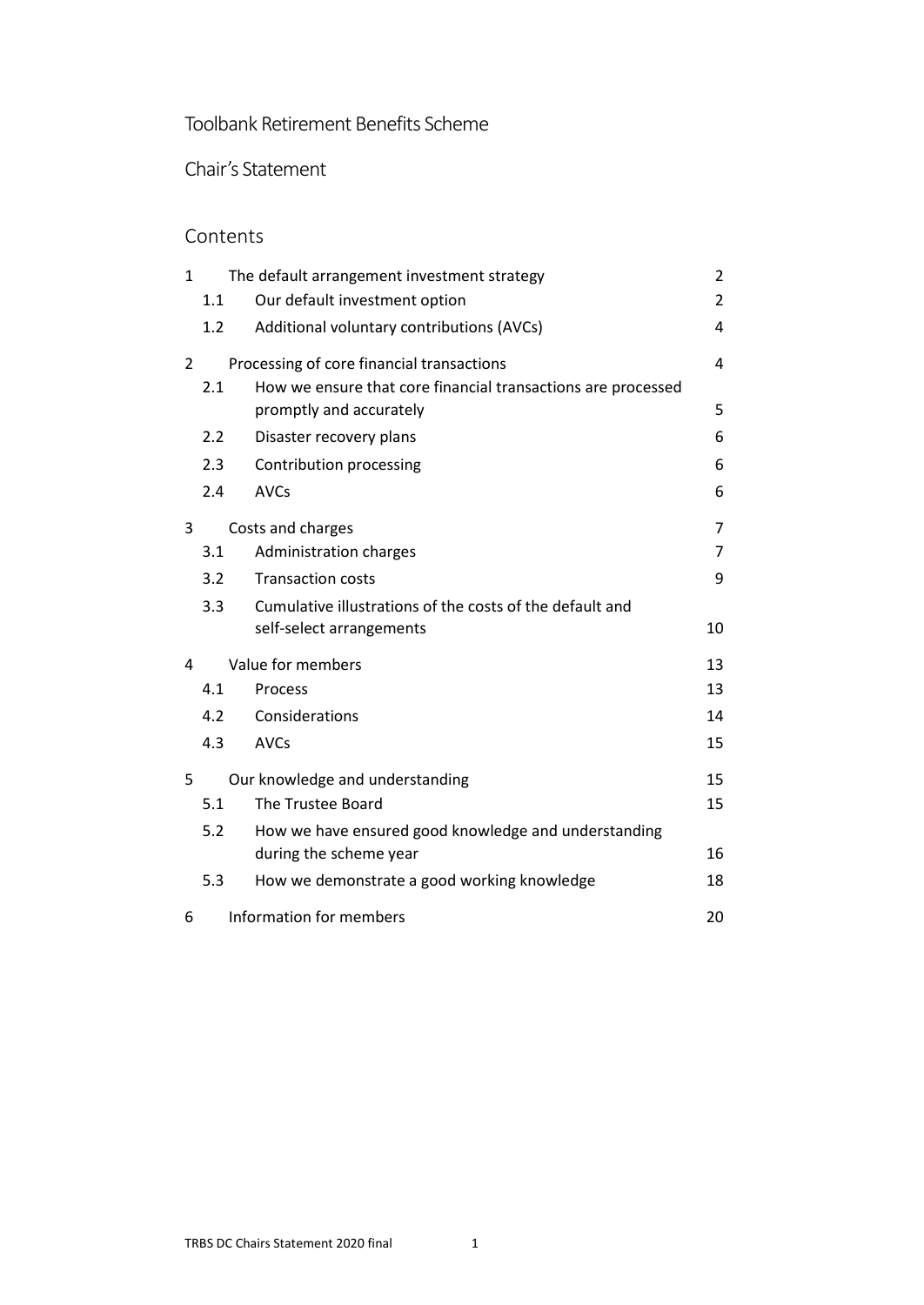# Toolbank Retirement Benefits Scheme

Chair's Statement

# Contents

| 1              |     | The default arrangement investment strategy                                             | 2  |
|----------------|-----|-----------------------------------------------------------------------------------------|----|
|                | 1.1 | Our default investment option                                                           | 2  |
|                | 1.2 | Additional voluntary contributions (AVCs)                                               | 4  |
| $\overline{2}$ |     | Processing of core financial transactions                                               | 4  |
|                | 2.1 | How we ensure that core financial transactions are processed<br>promptly and accurately | 5  |
|                | 2.2 | Disaster recovery plans                                                                 | 6  |
|                | 2.3 | Contribution processing                                                                 | 6  |
|                | 2.4 | <b>AVCs</b>                                                                             | 6  |
| 3              |     | Costs and charges                                                                       | 7  |
|                | 3.1 | Administration charges                                                                  | 7  |
|                | 3.2 | <b>Transaction costs</b>                                                                | 9  |
|                | 3.3 | Cumulative illustrations of the costs of the default and                                |    |
|                |     | self-select arrangements                                                                | 10 |
| 4              |     | Value for members                                                                       | 13 |
|                | 4.1 | Process                                                                                 | 13 |
|                | 4.2 | Considerations                                                                          | 14 |
|                | 4.3 | <b>AVCs</b>                                                                             | 15 |
| 5              |     | Our knowledge and understanding                                                         | 15 |
|                | 5.1 | The Trustee Board                                                                       | 15 |
|                | 5.2 | How we have ensured good knowledge and understanding<br>during the scheme year          | 16 |
|                |     |                                                                                         |    |
|                | 5.3 | How we demonstrate a good working knowledge                                             | 18 |
| 6              |     | Information for members                                                                 | 20 |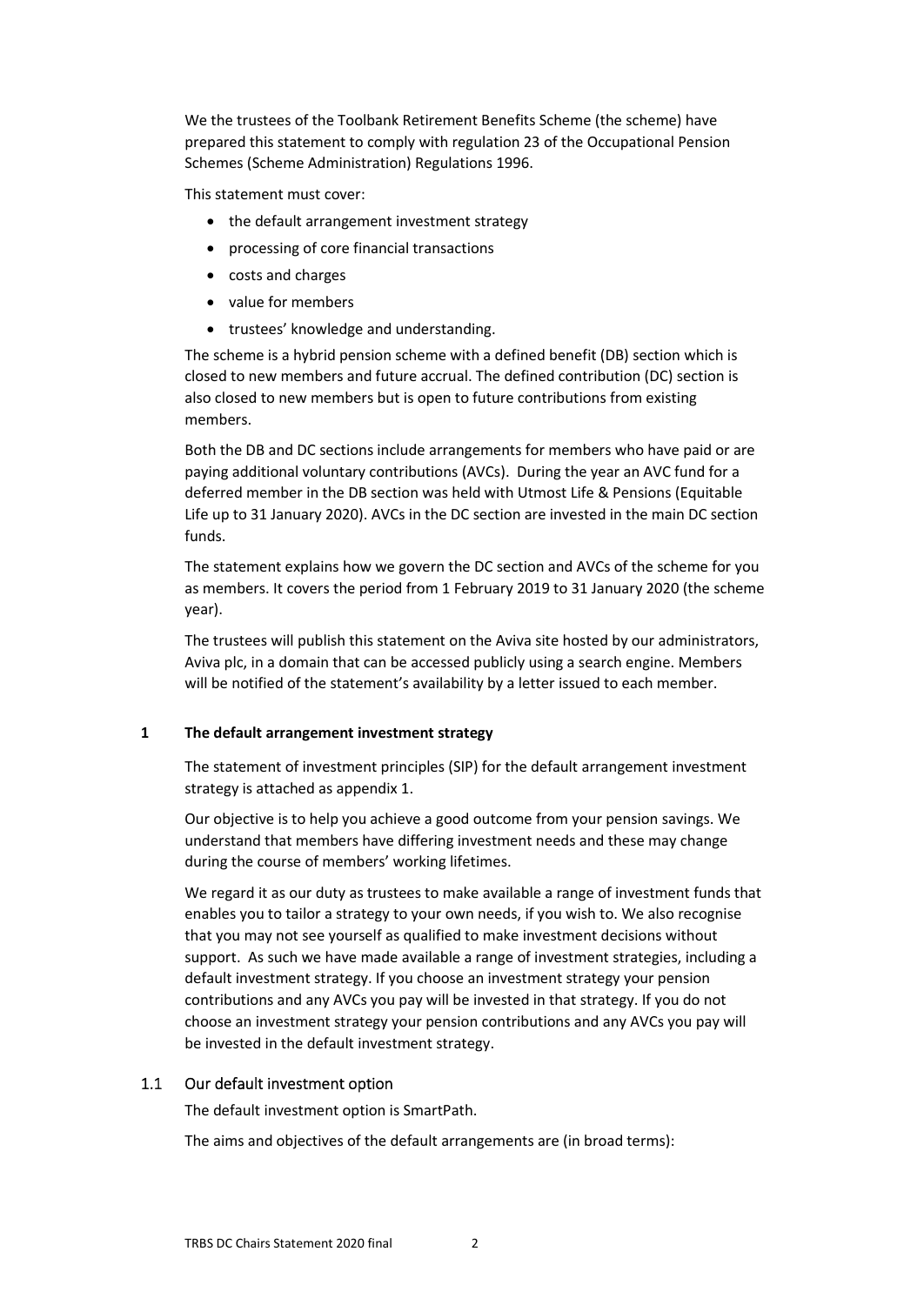We the trustees of the Toolbank Retirement Benefits Scheme (the scheme) have prepared this statement to comply with regulation 23 of the Occupational Pension Schemes (Scheme Administration) Regulations 1996.

This statement must cover:

- the default arrangement investment strategy
- processing of core financial transactions
- costs and charges
- value for members
- trustees' knowledge and understanding.

The scheme is a hybrid pension scheme with a defined benefit (DB) section which is closed to new members and future accrual. The defined contribution (DC) section is also closed to new members but is open to future contributions from existing members.

Both the DB and DC sections include arrangements for members who have paid or are paying additional voluntary contributions (AVCs). During the year an AVC fund for a deferred member in the DB section was held with Utmost Life & Pensions (Equitable Life up to 31 January 2020). AVCs in the DC section are invested in the main DC section funds.

The statement explains how we govern the DC section and AVCs of the scheme for you as members. It covers the period from 1 February 2019 to 31 January 2020 (the scheme year).

The trustees will publish this statement on the Aviva site hosted by our administrators, Aviva plc, in a domain that can be accessed publicly using a search engine. Members will be notified of the statement's availability by a letter issued to each member.

#### <span id="page-1-0"></span>**1 The default arrangement investment strategy**

The statement of investment principles (SIP) for the default arrangement investment strategy is attached as appendix 1.

Our objective is to help you achieve a good outcome from your pension savings. We understand that members have differing investment needs and these may change during the course of members' working lifetimes.

We regard it as our duty as trustees to make available a range of investment funds that enables you to tailor a strategy to your own needs, if you wish to. We also recognise that you may not see yourself as qualified to make investment decisions without support. As such we have made available a range of investment strategies, including a default investment strategy. If you choose an investment strategy your pension contributions and any AVCs you pay will be invested in that strategy. If you do not choose an investment strategy your pension contributions and any AVCs you pay will be invested in the default investment strategy.

## 1.1 Our default investment option

<span id="page-1-1"></span>The default investment option is SmartPath.

The aims and objectives of the default arrangements are (in broad terms):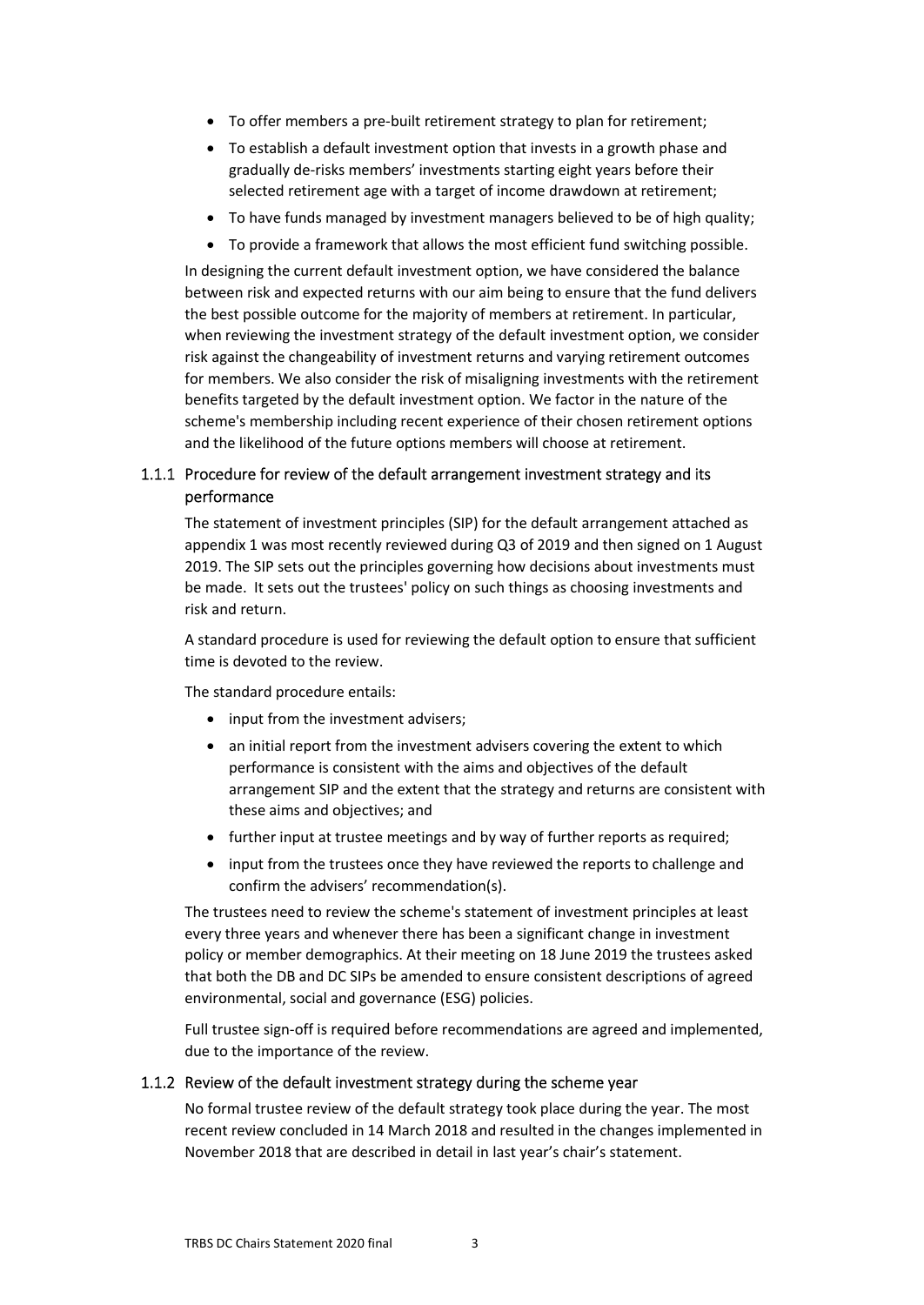- To offer members a pre-built retirement strategy to plan for retirement;
- To establish a default investment option that invests in a growth phase and gradually de-risks members' investments starting eight years before their selected retirement age with a target of income drawdown at retirement;
- To have funds managed by investment managers believed to be of high quality;
- To provide a framework that allows the most efficient fund switching possible.

In designing the current default investment option, we have considered the balance between risk and expected returns with our aim being to ensure that the fund delivers the best possible outcome for the majority of members at retirement. In particular, when reviewing the investment strategy of the default investment option, we consider risk against the changeability of investment returns and varying retirement outcomes for members. We also consider the risk of misaligning investments with the retirement benefits targeted by the default investment option. We factor in the nature of the scheme's membership including recent experience of their chosen retirement options and the likelihood of the future options members will choose at retirement.

## 1.1.1 Procedure for review of the default arrangement investment strategy and its performance

The statement of investment principles (SIP) for the default arrangement attached as appendix 1 was most recently reviewed during Q3 of 2019 and then signed on 1 August 2019. The SIP sets out the principles governing how decisions about investments must be made. It sets out the trustees' policy on such things as choosing investments and risk and return.

A standard procedure is used for reviewing the default option to ensure that sufficient time is devoted to the review.

The standard procedure entails:

- input from the investment advisers;
- an initial report from the investment advisers covering the extent to which performance is consistent with the aims and objectives of the default arrangement SIP and the extent that the strategy and returns are consistent with these aims and objectives; and
- further input at trustee meetings and by way of further reports as required;
- input from the trustees once they have reviewed the reports to challenge and confirm the advisers' recommendation(s).

The trustees need to review the scheme's statement of investment principles at least every three years and whenever there has been a significant change in investment policy or member demographics. At their meeting on 18 June 2019 the trustees asked that both the DB and DC SIPs be amended to ensure consistent descriptions of agreed environmental, social and governance (ESG) policies.

Full trustee sign-off is required before recommendations are agreed and implemented, due to the importance of the review.

#### 1.1.2 Review of the default investment strategy during the scheme year

No formal trustee review of the default strategy took place during the year. The most recent review concluded in 14 March 2018 and resulted in the changes implemented in November 2018 that are described in detail in last year's chair's statement.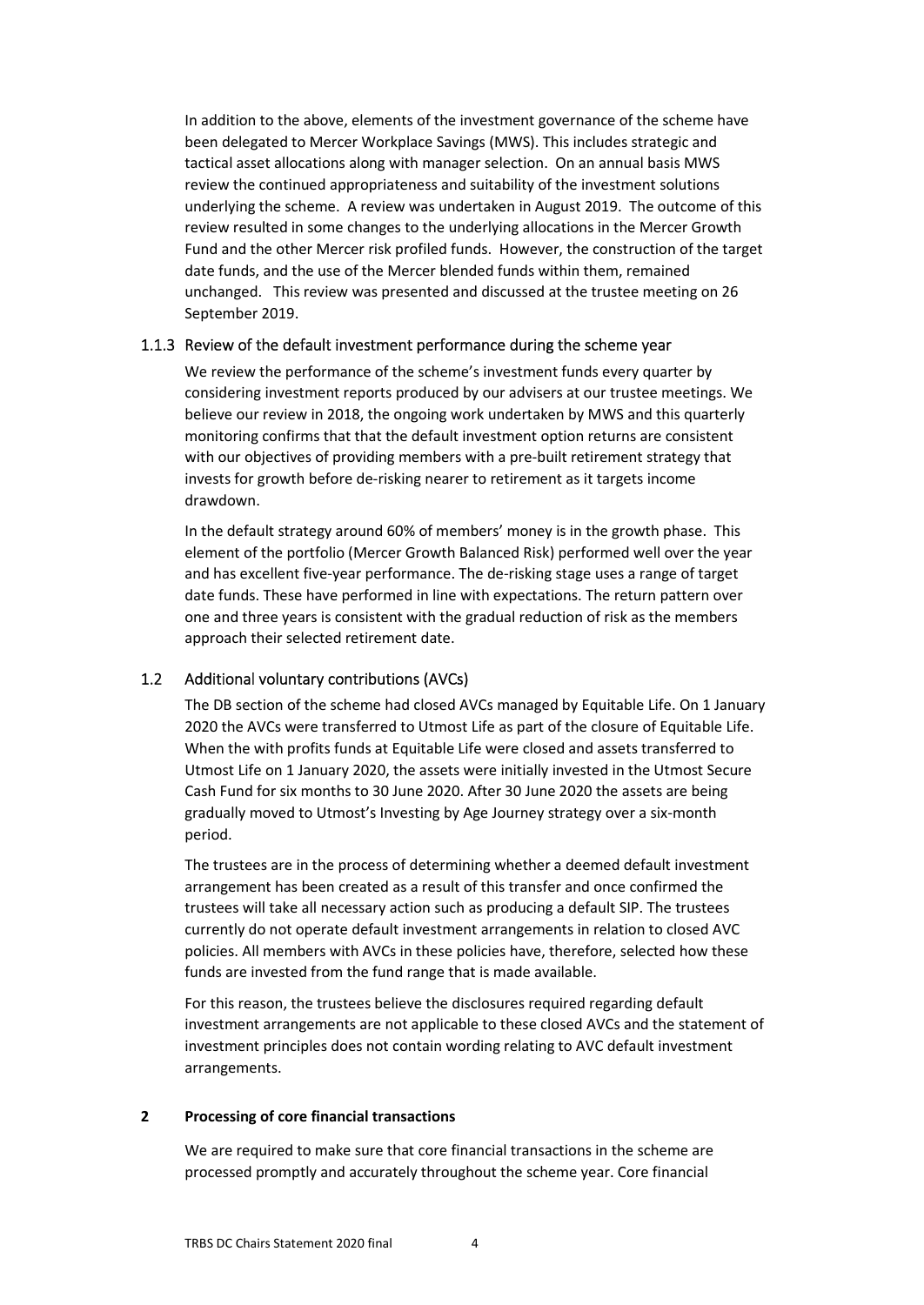In addition to the above, elements of the investment governance of the scheme have been delegated to Mercer Workplace Savings (MWS). This includes strategic and tactical asset allocations along with manager selection. On an annual basis MWS review the continued appropriateness and suitability of the investment solutions underlying the scheme. A review was undertaken in August 2019. The outcome of this review resulted in some changes to the underlying allocations in the Mercer Growth Fund and the other Mercer risk profiled funds. However, the construction of the target date funds, and the use of the Mercer blended funds within them, remained unchanged. This review was presented and discussed at the trustee meeting on 26 September 2019.

### 1.1.3 Review of the default investment performance during the scheme year

We review the performance of the scheme's investment funds every quarter by considering investment reports produced by our advisers at our trustee meetings. We believe our review in 2018, the ongoing work undertaken by MWS and this quarterly monitoring confirms that that the default investment option returns are consistent with our objectives of providing members with a pre-built retirement strategy that invests for growth before de-risking nearer to retirement as it targets income drawdown.

In the default strategy around 60% of members' money is in the growth phase. This element of the portfolio (Mercer Growth Balanced Risk) performed well over the year and has excellent five-year performance. The de-risking stage uses a range of target date funds. These have performed in line with expectations. The return pattern over one and three years is consistent with the gradual reduction of risk as the members approach their selected retirement date.

## 1.2 Additional voluntary contributions (AVCs)

<span id="page-3-0"></span>The DB section of the scheme had closed AVCs managed by Equitable Life. On 1 January 2020 the AVCs were transferred to Utmost Life as part of the closure of Equitable Life. When the with profits funds at Equitable Life were closed and assets transferred to Utmost Life on 1 January 2020, the assets were initially invested in the Utmost Secure Cash Fund for six months to 30 June 2020. After 30 June 2020 the assets are being gradually moved to Utmost's Investing by Age Journey strategy over a six-month period.

The trustees are in the process of determining whether a deemed default investment arrangement has been created as a result of this transfer and once confirmed the trustees will take all necessary action such as producing a default SIP. The trustees currently do not operate default investment arrangements in relation to closed AVC policies. All members with AVCs in these policies have, therefore, selected how these funds are invested from the fund range that is made available.

For this reason, the trustees believe the disclosures required regarding default investment arrangements are not applicable to these closed AVCs and the statement of investment principles does not contain wording relating to AVC default investment arrangements.

#### <span id="page-3-1"></span>**2 Processing of core financial transactions**

We are required to make sure that core financial transactions in the scheme are processed promptly and accurately throughout the scheme year. Core financial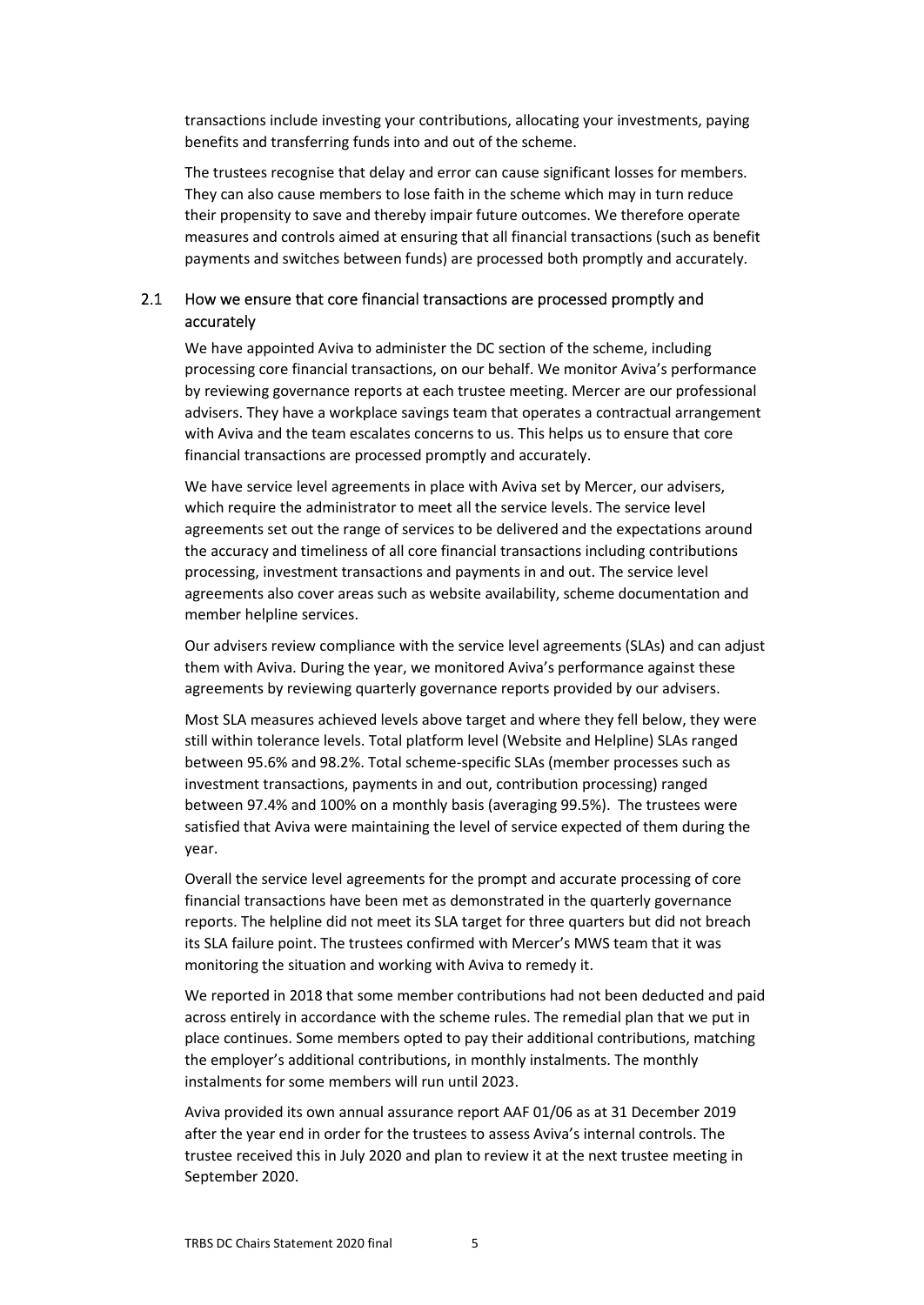transactions include investing your contributions, allocating your investments, paying benefits and transferring funds into and out of the scheme.

The trustees recognise that delay and error can cause significant losses for members. They can also cause members to lose faith in the scheme which may in turn reduce their propensity to save and thereby impair future outcomes. We therefore operate measures and controls aimed at ensuring that all financial transactions (such as benefit payments and switches between funds) are processed both promptly and accurately.

## <span id="page-4-0"></span>2.1 How we ensure that core financial transactions are processed promptly and accurately

We have appointed Aviva to administer the DC section of the scheme, including processing core financial transactions, on our behalf. We monitor Aviva's performance by reviewing governance reports at each trustee meeting. Mercer are our professional advisers. They have a workplace savings team that operates a contractual arrangement with Aviva and the team escalates concerns to us. This helps us to ensure that core financial transactions are processed promptly and accurately.

We have service level agreements in place with Aviva set by Mercer, our advisers, which require the administrator to meet all the service levels. The service level agreements set out the range of services to be delivered and the expectations around the accuracy and timeliness of all core financial transactions including contributions processing, investment transactions and payments in and out. The service level agreements also cover areas such as website availability, scheme documentation and member helpline services.

Our advisers review compliance with the service level agreements (SLAs) and can adjust them with Aviva. During the year, we monitored Aviva's performance against these agreements by reviewing quarterly governance reports provided by our advisers.

Most SLA measures achieved levels above target and where they fell below, they were still within tolerance levels. Total platform level (Website and Helpline) SLAs ranged between 95.6% and 98.2%. Total scheme-specific SLAs (member processes such as investment transactions, payments in and out, contribution processing) ranged between 97.4% and 100% on a monthly basis (averaging 99.5%). The trustees were satisfied that Aviva were maintaining the level of service expected of them during the year.

Overall the service level agreements for the prompt and accurate processing of core financial transactions have been met as demonstrated in the quarterly governance reports. The helpline did not meet its SLA target for three quarters but did not breach its SLA failure point. The trustees confirmed with Mercer's MWS team that it was monitoring the situation and working with Aviva to remedy it.

We reported in 2018 that some member contributions had not been deducted and paid across entirely in accordance with the scheme rules. The remedial plan that we put in place continues. Some members opted to pay their additional contributions, matching the employer's additional contributions, in monthly instalments. The monthly instalments for some members will run until 2023.

Aviva provided its own annual assurance report AAF 01/06 as at 31 December 2019 after the year end in order for the trustees to assess Aviva's internal controls. The trustee received this in July 2020 and plan to review it at the next trustee meeting in September 2020.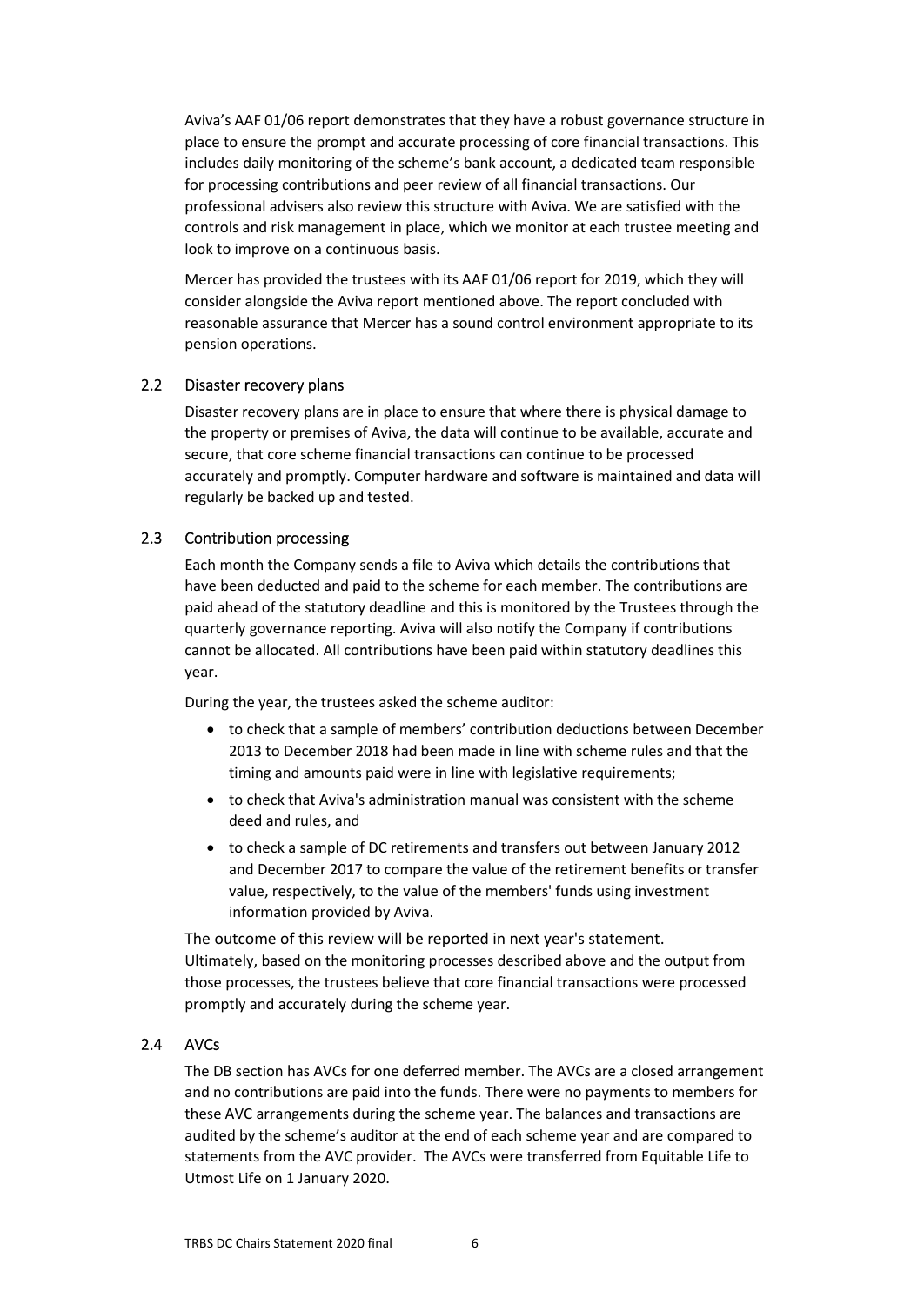Aviva's AAF 01/06 report demonstrates that they have a robust governance structure in place to ensure the prompt and accurate processing of core financial transactions. This includes daily monitoring of the scheme's bank account, a dedicated team responsible for processing contributions and peer review of all financial transactions. Our professional advisers also review this structure with Aviva. We are satisfied with the controls and risk management in place, which we monitor at each trustee meeting and look to improve on a continuous basis.

Mercer has provided the trustees with its AAF 01/06 report for 2019, which they will consider alongside the Aviva report mentioned above. The report concluded with reasonable assurance that Mercer has a sound control environment appropriate to its pension operations.

### 2.2 Disaster recovery plans

<span id="page-5-0"></span>Disaster recovery plans are in place to ensure that where there is physical damage to the property or premises of Aviva, the data will continue to be available, accurate and secure, that core scheme financial transactions can continue to be processed accurately and promptly. Computer hardware and software is maintained and data will regularly be backed up and tested.

### 2.3 Contribution processing

<span id="page-5-1"></span>Each month the Company sends a file to Aviva which details the contributions that have been deducted and paid to the scheme for each member. The contributions are paid ahead of the statutory deadline and this is monitored by the Trustees through the quarterly governance reporting. Aviva will also notify the Company if contributions cannot be allocated. All contributions have been paid within statutory deadlines this year.

During the year, the trustees asked the scheme auditor:

- to check that a sample of members' contribution deductions between December 2013 to December 2018 had been made in line with scheme rules and that the timing and amounts paid were in line with legislative requirements;
- to check that Aviva's administration manual was consistent with the scheme deed and rules, and
- to check a sample of DC retirements and transfers out between January 2012 and December 2017 to compare the value of the retirement benefits or transfer value, respectively, to the value of the members' funds using investment information provided by Aviva.

The outcome of this review will be reported in next year's statement. Ultimately, based on the monitoring processes described above and the output from those processes, the trustees believe that core financial transactions were processed promptly and accurately during the scheme year.

## 2.4 AVCs

<span id="page-5-2"></span>The DB section has AVCs for one deferred member. The AVCs are a closed arrangement and no contributions are paid into the funds. There were no payments to members for these AVC arrangements during the scheme year. The balances and transactions are audited by the scheme's auditor at the end of each scheme year and are compared to statements from the AVC provider. The AVCs were transferred from Equitable Life to Utmost Life on 1 January 2020.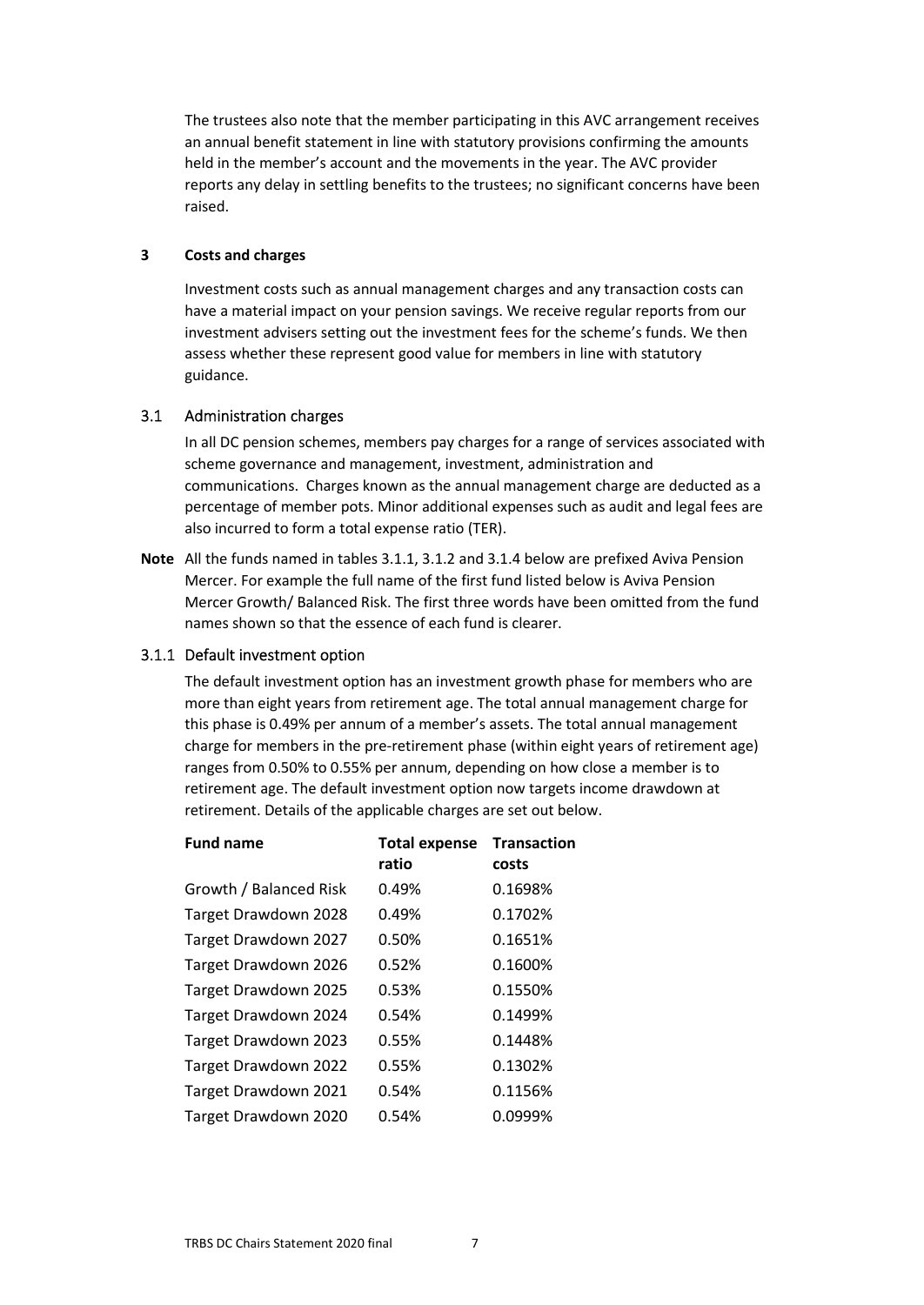The trustees also note that the member participating in this AVC arrangement receives an annual benefit statement in line with statutory provisions confirming the amounts held in the member's account and the movements in the year. The AVC provider reports any delay in settling benefits to the trustees; no significant concerns have been raised.

### <span id="page-6-0"></span>**3 Costs and charges**

Investment costs such as annual management charges and any transaction costs can have a material impact on your pension savings. We receive regular reports from our investment advisers setting out the investment fees for the scheme's funds. We then assess whether these represent good value for members in line with statutory guidance.

### 3.1 Administration charges

<span id="page-6-1"></span>In all DC pension schemes, members pay charges for a range of services associated with scheme governance and management, investment, administration and communications. Charges known as the annual management charge are deducted as a percentage of member pots. Minor additional expenses such as audit and legal fees are also incurred to form a total expense ratio (TER).

**Note** All the funds named in tables 3.1.1, 3.1.2 and 3.1.4 below are prefixed Aviva Pension Mercer. For example the full name of the first fund listed below is Aviva Pension Mercer Growth/ Balanced Risk. The first three words have been omitted from the fund names shown so that the essence of each fund is clearer.

#### 3.1.1 Default investment option

The default investment option has an investment growth phase for members who are more than eight years from retirement age. The total annual management charge for this phase is 0.49% per annum of a member's assets. The total annual management charge for members in the pre-retirement phase (within eight years of retirement age) ranges from 0.50% to 0.55% per annum, depending on how close a member is to retirement age. The default investment option now targets income drawdown at retirement. Details of the applicable charges are set out below.

| <b>Fund name</b>       | <b>Total expense</b><br>ratio | <b>Transaction</b><br>costs |
|------------------------|-------------------------------|-----------------------------|
| Growth / Balanced Risk | 0.49%                         | 0.1698%                     |
| Target Drawdown 2028   | 0.49%                         | 0.1702%                     |
| Target Drawdown 2027   | 0.50%                         | 0.1651%                     |
| Target Drawdown 2026   | 0.52%                         | 0.1600%                     |
| Target Drawdown 2025   | 0.53%                         | 0.1550%                     |
| Target Drawdown 2024   | 0.54%                         | 0.1499%                     |
| Target Drawdown 2023   | 0.55%                         | 0.1448%                     |
| Target Drawdown 2022   | 0.55%                         | 0.1302%                     |
| Target Drawdown 2021   | 0.54%                         | 0.1156%                     |
| Target Drawdown 2020   | 0.54%                         | 0.0999%                     |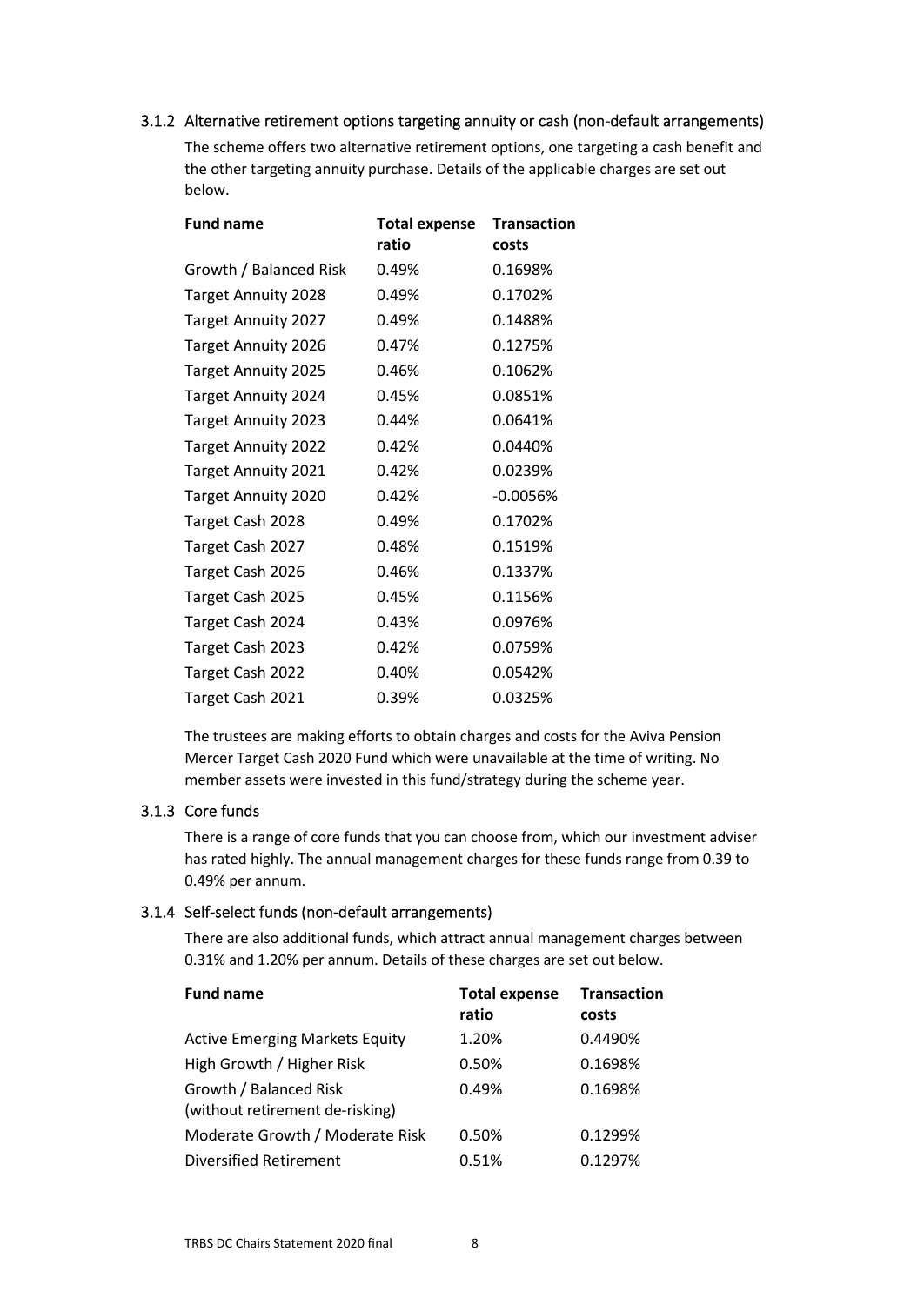## 3.1.2 Alternative retirement options targeting annuity or cash (non-default arrangements)

The scheme offers two alternative retirement options, one targeting a cash benefit and the other targeting annuity purchase. Details of the applicable charges are set out below.

| <b>Fund name</b>           | <b>Total expense</b> | <b>Transaction</b> |  |
|----------------------------|----------------------|--------------------|--|
|                            | ratio                | costs              |  |
| Growth / Balanced Risk     | 0.49%                | 0.1698%            |  |
| <b>Target Annuity 2028</b> | 0.49%                | 0.1702%            |  |
| <b>Target Annuity 2027</b> | 0.49%                | 0.1488%            |  |
| <b>Target Annuity 2026</b> | 0.47%                | 0.1275%            |  |
| <b>Target Annuity 2025</b> | 0.46%                | 0.1062%            |  |
| <b>Target Annuity 2024</b> | 0.45%                | 0.0851%            |  |
| <b>Target Annuity 2023</b> | 0.44%                | 0.0641%            |  |
| <b>Target Annuity 2022</b> | 0.42%                | 0.0440%            |  |
| <b>Target Annuity 2021</b> | 0.42%                | 0.0239%            |  |
| <b>Target Annuity 2020</b> | 0.42%                | $-0.0056%$         |  |
| Target Cash 2028           | 0.49%                | 0.1702%            |  |
| Target Cash 2027           | 0.48%                | 0.1519%            |  |
| Target Cash 2026           | 0.46%                | 0.1337%            |  |
| Target Cash 2025           | 0.45%                | 0.1156%            |  |
| Target Cash 2024           | 0.43%                | 0.0976%            |  |
| Target Cash 2023           | 0.42%                | 0.0759%            |  |
| Target Cash 2022           | 0.40%                | 0.0542%            |  |
| Target Cash 2021           | 0.39%                | 0.0325%            |  |

The trustees are making efforts to obtain charges and costs for the Aviva Pension Mercer Target Cash 2020 Fund which were unavailable at the time of writing. No member assets were invested in this fund/strategy during the scheme year.

## 3.1.3 Core funds

There is a range of core funds that you can choose from, which our investment adviser has rated highly. The annual management charges for these funds range from 0.39 to 0.49% per annum.

## 3.1.4 Self-select funds (non-default arrangements)

There are also additional funds, which attract annual management charges between 0.31% and 1.20% per annum. Details of these charges are set out below.

| <b>Fund name</b>                                          | <b>Total expense</b><br>ratio | <b>Transaction</b><br>costs |
|-----------------------------------------------------------|-------------------------------|-----------------------------|
| <b>Active Emerging Markets Equity</b>                     | 1.20%                         | 0.4490%                     |
| High Growth / Higher Risk                                 | 0.50%                         | 0.1698%                     |
| Growth / Balanced Risk<br>(without retirement de-risking) | 0.49%                         | 0.1698%                     |
| Moderate Growth / Moderate Risk                           | 0.50%                         | 0.1299%                     |
| <b>Diversified Retirement</b>                             | 0.51%                         | 0.1297%                     |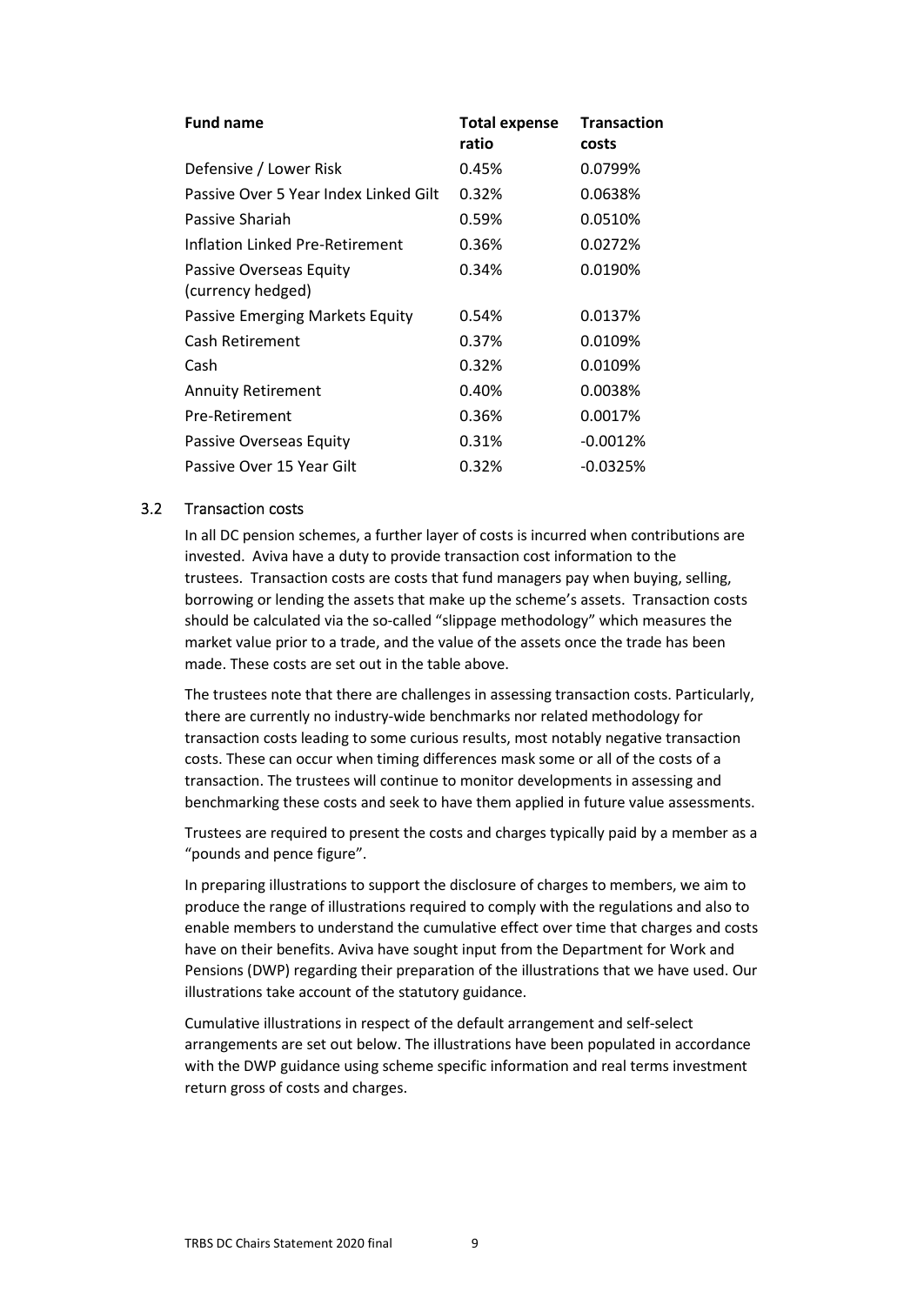| <b>Fund name</b>                             | <b>Total expense</b><br>ratio | <b>Transaction</b><br>costs |
|----------------------------------------------|-------------------------------|-----------------------------|
| Defensive / Lower Risk                       | 0.45%                         | 0.0799%                     |
| Passive Over 5 Year Index Linked Gilt        | 0.32%                         | 0.0638%                     |
| Passive Shariah                              | 0.59%                         | 0.0510%                     |
| Inflation Linked Pre-Retirement              | 0.36%                         | 0.0272%                     |
| Passive Overseas Equity<br>(currency hedged) | 0.34%                         | 0.0190%                     |
| Passive Emerging Markets Equity              | 0.54%                         | 0.0137%                     |
| Cash Retirement                              | 0.37%                         | 0.0109%                     |
| Cash                                         | 0.32%                         | 0.0109%                     |
| <b>Annuity Retirement</b>                    | 0.40%                         | 0.0038%                     |
| Pre-Retirement                               | 0.36%                         | 0.0017%                     |
| Passive Overseas Equity                      | 0.31%                         | $-0.0012%$                  |
| Passive Over 15 Year Gilt                    | 0.32%                         | $-0.0325%$                  |

### <span id="page-8-0"></span>3.2 Transaction costs

In all DC pension schemes, a further layer of costs is incurred when contributions are invested. Aviva have a duty to provide transaction cost information to the trustees. Transaction costs are costs that fund managers pay when buying, selling, borrowing or lending the assets that make up the scheme's assets. Transaction costs should be calculated via the so-called "slippage methodology" which measures the market value prior to a trade, and the value of the assets once the trade has been made. These costs are set out in the table above.

The trustees note that there are challenges in assessing transaction costs. Particularly, there are currently no industry-wide benchmarks nor related methodology for transaction costs leading to some curious results, most notably negative transaction costs. These can occur when timing differences mask some or all of the costs of a transaction. The trustees will continue to monitor developments in assessing and benchmarking these costs and seek to have them applied in future value assessments.

Trustees are required to present the costs and charges typically paid by a member as a "pounds and pence figure".

In preparing illustrations to support the disclosure of charges to members, we aim to produce the range of illustrations required to comply with the regulations and also to enable members to understand the cumulative effect over time that charges and costs have on their benefits. Aviva have sought input from the Department for Work and Pensions (DWP) regarding their preparation of the illustrations that we have used. Our illustrations take account of the statutory guidance.

Cumulative illustrations in respect of the default arrangement and self-select arrangements are set out below. The illustrations have been populated in accordance with the DWP guidance using scheme specific information and real terms investment return gross of costs and charges.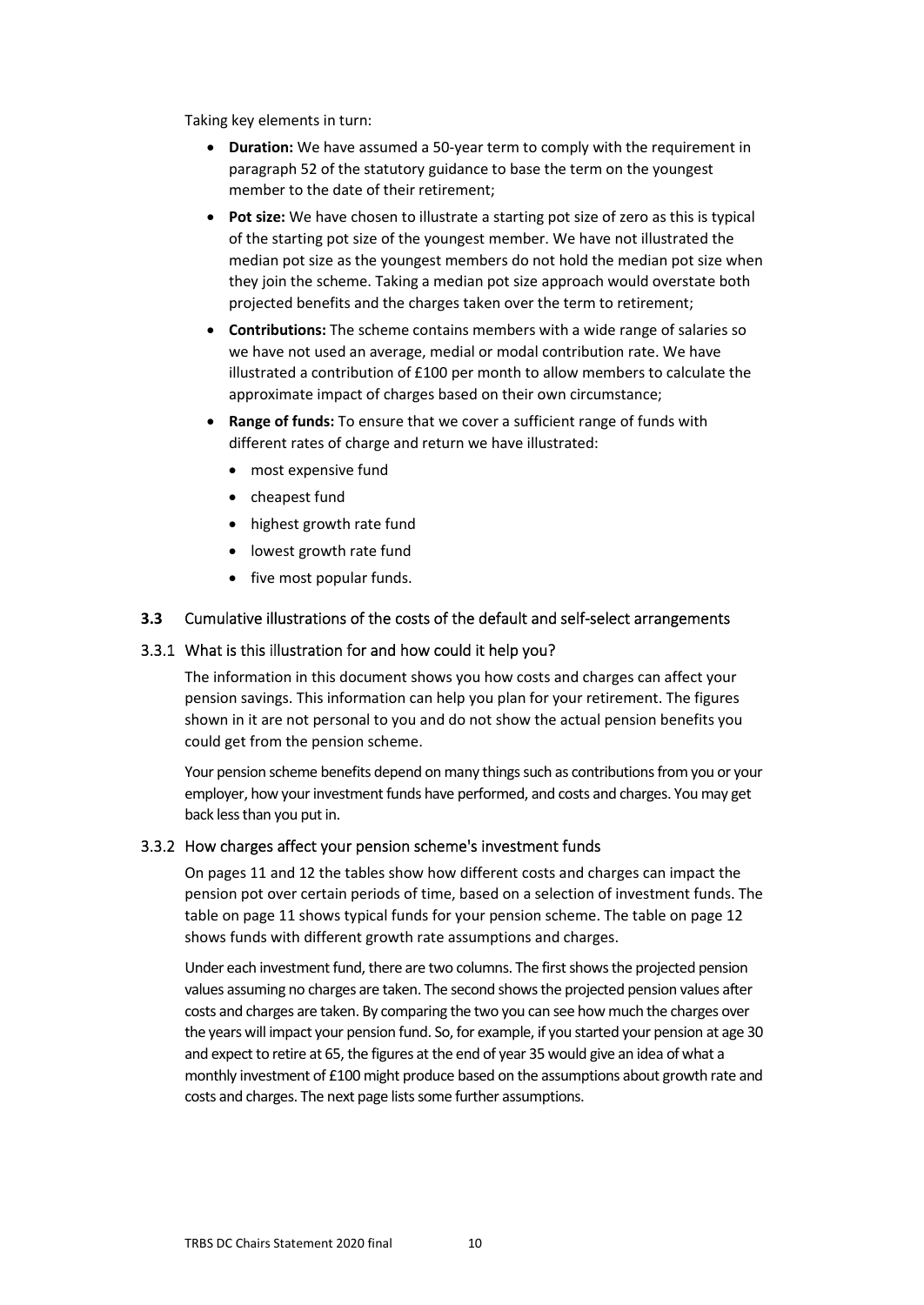Taking key elements in turn:

- **Duration:** We have assumed a 50-year term to comply with the requirement in paragraph 52 of the statutory guidance to base the term on the youngest member to the date of their retirement;
- **Pot size:** We have chosen to illustrate a starting pot size of zero as this is typical of the starting pot size of the youngest member. We have not illustrated the median pot size as the youngest members do not hold the median pot size when they join the scheme. Taking a median pot size approach would overstate both projected benefits and the charges taken over the term to retirement;
- **Contributions:** The scheme contains members with a wide range of salaries so we have not used an average, medial or modal contribution rate. We have illustrated a contribution of £100 per month to allow members to calculate the approximate impact of charges based on their own circumstance;
- **Range of funds:** To ensure that we cover a sufficient range of funds with different rates of charge and return we have illustrated:
	- most expensive fund
	- cheapest fund
	- highest growth rate fund
	- lowest growth rate fund
	- five most popular funds.

## <span id="page-9-0"></span>**3.3** Cumulative illustrations of the costs of the default and self-select arrangements

### 3.3.1 What is this illustration for and how could it help you?

The information in this document shows you how costs and charges can affect your pension savings. This information can help you plan for your retirement. The figures shown in it are not personal to you and do not show the actual pension benefits you could get from the pension scheme.

Your pension scheme benefits depend on many things such as contributions from you or your employer, how your investment funds have performed, and costs and charges. You may get back less than you put in.

### 3.3.2 How charges affect your pension scheme's investment funds

On pages 11 and 12 the tables show how different costs and charges can impact the pension pot over certain periods of time, based on a selection of investment funds. The table on page 11 shows typical funds for your pension scheme. The table on page 12 shows funds with different growth rate assumptions and charges.

Under each investment fund, there are two columns. The first shows the projected pension values assuming no charges are taken. The second shows the projected pension values after costs and charges are taken. By comparing the two you can see how much the charges over the years will impact your pension fund. So, for example, if you started your pension at age 30 and expect to retire at 65, the figures at the end of year 35 would give an idea of what a monthly investment of £100 might produce based on the assumptions about growth rate and costs and charges. The next page lists some further assumptions.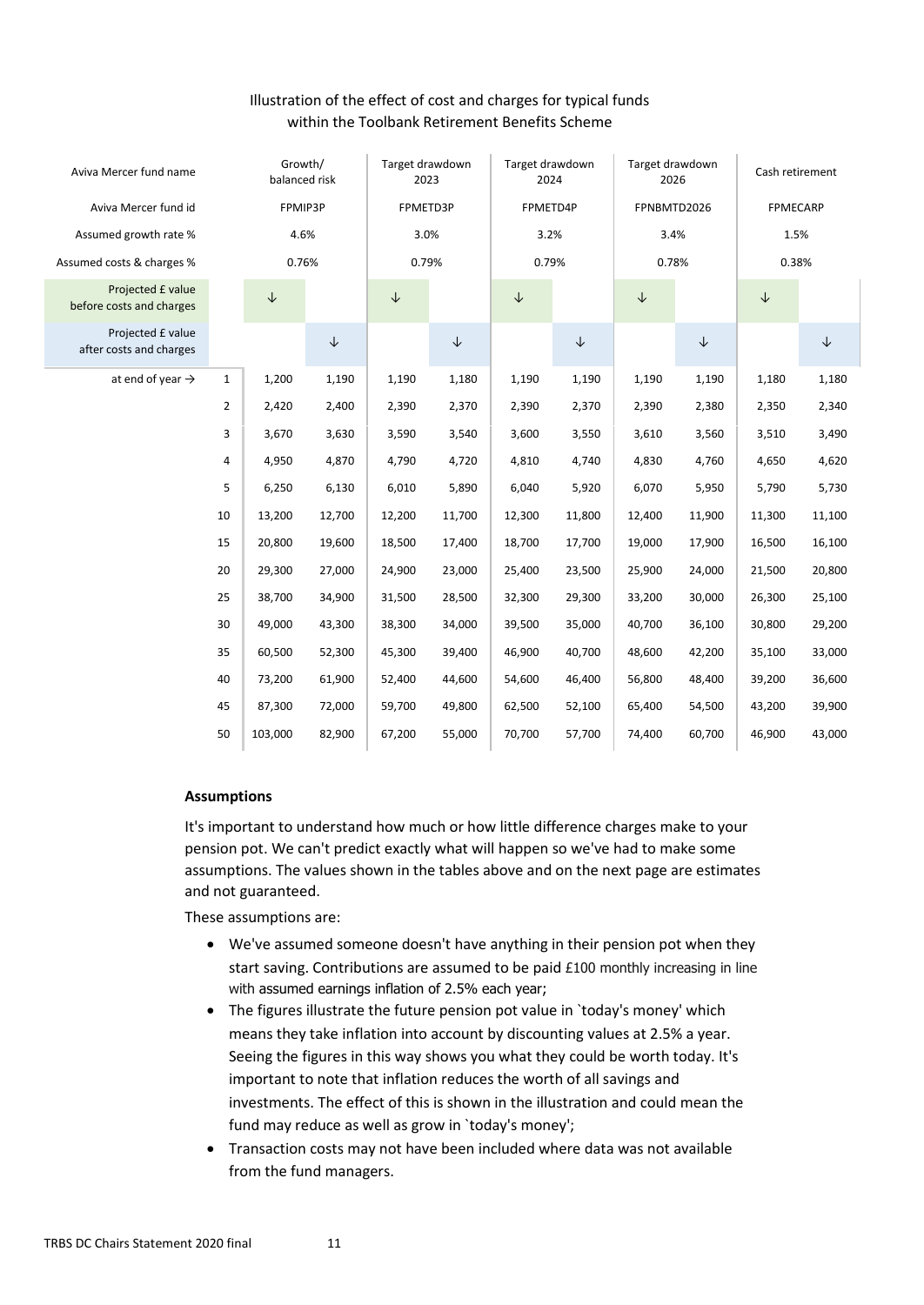## Illustration of the effect of cost and charges for typical funds within the Toolbank Retirement Benefits Scheme

| Aviva Mercer fund name                        | Growth/<br>balanced risk |              | Target drawdown<br>2023 |              | Target drawdown<br>2024 |              | Target drawdown<br>2026 |              | Cash retirement |                 |              |
|-----------------------------------------------|--------------------------|--------------|-------------------------|--------------|-------------------------|--------------|-------------------------|--------------|-----------------|-----------------|--------------|
| Aviva Mercer fund id                          |                          | FPMIP3P      |                         | FPMETD3P     |                         | FPMETD4P     |                         | FPNBMTD2026  |                 | <b>FPMECARP</b> |              |
| Assumed growth rate %                         |                          | 4.6%         |                         | 3.0%         |                         | 3.2%         |                         | 3.4%         |                 | 1.5%            |              |
| Assumed costs & charges %                     |                          | 0.76%        |                         | 0.79%        |                         | 0.79%        |                         | 0.78%        |                 | 0.38%           |              |
| Projected £ value<br>before costs and charges |                          | $\downarrow$ |                         | $\downarrow$ |                         | $\downarrow$ |                         | $\downarrow$ |                 | $\downarrow$    |              |
| Projected £ value<br>after costs and charges  |                          |              | $\downarrow$            |              | $\downarrow$            |              | $\downarrow$            |              | $\downarrow$    |                 | $\downarrow$ |
| at end of year $\rightarrow$                  | $\mathbf{1}$             | 1,200        | 1,190                   | 1,190        | 1,180                   | 1,190        | 1,190                   | 1,190        | 1,190           | 1,180           | 1,180        |
|                                               | $\overline{2}$           | 2,420        | 2,400                   | 2,390        | 2,370                   | 2,390        | 2,370                   | 2,390        | 2,380           | 2,350           | 2,340        |
|                                               | 3                        | 3,670        | 3,630                   | 3,590        | 3,540                   | 3,600        | 3,550                   | 3,610        | 3,560           | 3,510           | 3,490        |
|                                               | 4                        | 4,950        | 4,870                   | 4,790        | 4,720                   | 4,810        | 4,740                   | 4,830        | 4,760           | 4,650           | 4,620        |
|                                               | 5                        | 6,250        | 6,130                   | 6,010        | 5,890                   | 6,040        | 5,920                   | 6,070        | 5,950           | 5,790           | 5,730        |
|                                               | 10                       | 13,200       | 12,700                  | 12,200       | 11,700                  | 12,300       | 11,800                  | 12,400       | 11,900          | 11,300          | 11,100       |
|                                               | 15                       | 20,800       | 19,600                  | 18,500       | 17,400                  | 18,700       | 17,700                  | 19,000       | 17,900          | 16,500          | 16,100       |
|                                               | 20                       | 29,300       | 27,000                  | 24,900       | 23,000                  | 25,400       | 23,500                  | 25,900       | 24,000          | 21,500          | 20,800       |
|                                               | 25                       | 38,700       | 34,900                  | 31,500       | 28,500                  | 32,300       | 29,300                  | 33,200       | 30,000          | 26,300          | 25,100       |
|                                               | 30                       | 49,000       | 43,300                  | 38,300       | 34,000                  | 39,500       | 35,000                  | 40,700       | 36,100          | 30,800          | 29,200       |
|                                               | 35                       | 60,500       | 52,300                  | 45,300       | 39,400                  | 46,900       | 40,700                  | 48,600       | 42,200          | 35,100          | 33,000       |
|                                               | 40                       | 73,200       | 61,900                  | 52,400       | 44,600                  | 54,600       | 46,400                  | 56,800       | 48,400          | 39,200          | 36,600       |
|                                               | 45                       | 87,300       | 72,000                  | 59,700       | 49,800                  | 62,500       | 52,100                  | 65,400       | 54,500          | 43,200          | 39,900       |
|                                               | 50                       | 103,000      | 82,900                  | 67,200       | 55,000                  | 70,700       | 57,700                  | 74,400       | 60,700          | 46,900          | 43,000       |

## **Assumptions**

It's important to understand how much or how little difference charges make to your pension pot. We can't predict exactly what will happen so we've had to make some assumptions. The values shown in the tables above and on the next page are estimates and not guaranteed.

These assumptions are:

- We've assumed someone doesn't have anything in their pension pot when they start saving. Contributions are assumed to be paid £100 monthly increasing in line with assumed earnings inflation of 2.5% each year;
- The figures illustrate the future pension pot value in `today's money' which means they take inflation into account by discounting values at 2.5% a year. Seeing the figures in this way shows you what they could be worth today. It's important to note that inflation reduces the worth of all savings and investments. The effect of this is shown in the illustration and could mean the fund may reduce as well as grow in `today's money';
- Transaction costs may not have been included where data was not available from the fund managers.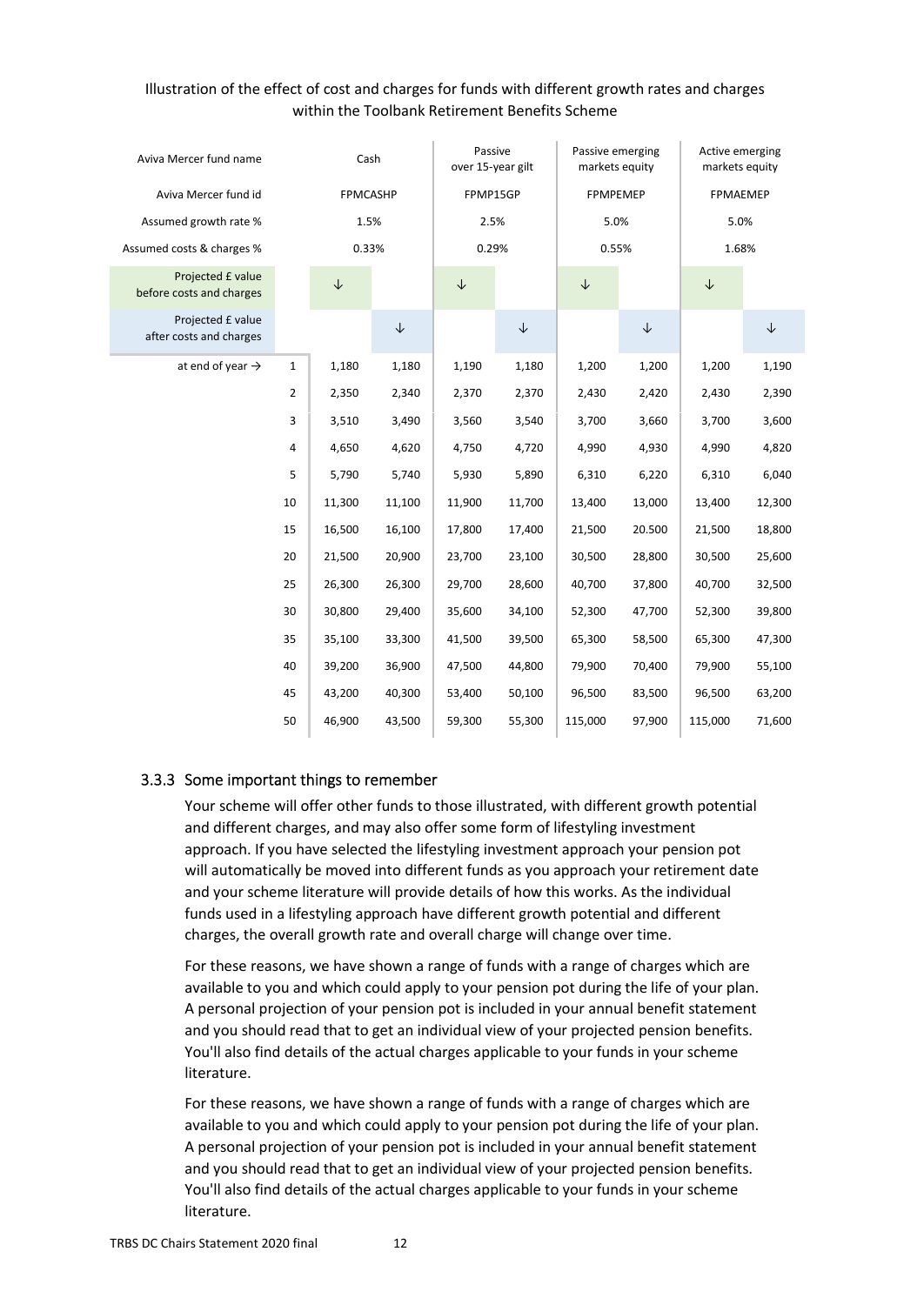## Illustration of the effect of cost and charges for funds with different growth rates and charges within the Toolbank Retirement Benefits Scheme

| Aviva Mercer fund name                        | Cash |              | Passive<br>over 15-year gilt |              | Passive emerging<br>markets equity |              | Active emerging<br>markets equity |              |              |
|-----------------------------------------------|------|--------------|------------------------------|--------------|------------------------------------|--------------|-----------------------------------|--------------|--------------|
| Aviva Mercer fund id                          |      | FPMCASHP     |                              | FPMP15GP     |                                    | FPMPEMEP     |                                   | FPMAEMEP     |              |
| Assumed growth rate %                         |      | 1.5%         |                              | 2.5%         |                                    | 5.0%         |                                   | 5.0%         |              |
| Assumed costs & charges %                     |      | 0.33%        |                              | 0.29%        |                                    | 0.55%        |                                   | 1.68%        |              |
| Projected £ value<br>before costs and charges |      | $\downarrow$ |                              | $\downarrow$ |                                    | $\downarrow$ |                                   | $\downarrow$ |              |
| Projected £ value<br>after costs and charges  |      |              | $\downarrow$                 |              | $\downarrow$                       |              | $\downarrow$                      |              | $\downarrow$ |
| at end of year $\rightarrow$                  | 1    | 1,180        | 1,180                        | 1,190        | 1,180                              | 1,200        | 1,200                             | 1,200        | 1,190        |
|                                               | 2    | 2,350        | 2,340                        | 2,370        | 2,370                              | 2,430        | 2,420                             | 2,430        | 2,390        |
|                                               | 3    | 3,510        | 3,490                        | 3,560        | 3,540                              | 3,700        | 3,660                             | 3,700        | 3,600        |
|                                               | 4    | 4,650        | 4,620                        | 4,750        | 4,720                              | 4,990        | 4,930                             | 4,990        | 4,820        |
|                                               | 5    | 5,790        | 5,740                        | 5,930        | 5,890                              | 6,310        | 6,220                             | 6,310        | 6,040        |
|                                               | 10   | 11,300       | 11,100                       | 11,900       | 11,700                             | 13,400       | 13,000                            | 13,400       | 12,300       |
|                                               | 15   | 16,500       | 16,100                       | 17,800       | 17,400                             | 21,500       | 20.500                            | 21,500       | 18,800       |
|                                               | 20   | 21,500       | 20,900                       | 23,700       | 23,100                             | 30,500       | 28,800                            | 30,500       | 25,600       |
|                                               | 25   | 26,300       | 26,300                       | 29,700       | 28,600                             | 40,700       | 37,800                            | 40,700       | 32,500       |
|                                               | 30   | 30,800       | 29,400                       | 35,600       | 34,100                             | 52,300       | 47,700                            | 52,300       | 39,800       |
|                                               | 35   | 35,100       | 33,300                       | 41,500       | 39,500                             | 65,300       | 58,500                            | 65,300       | 47,300       |
|                                               | 40   | 39,200       | 36,900                       | 47,500       | 44,800                             | 79,900       | 70,400                            | 79,900       | 55,100       |
|                                               | 45   | 43,200       | 40,300                       | 53,400       | 50,100                             | 96,500       | 83,500                            | 96,500       | 63,200       |
|                                               | 50   | 46,900       | 43,500                       | 59,300       | 55,300                             | 115,000      | 97,900                            | 115,000      | 71,600       |

## 3.3.3 Some important things to remember

Your scheme will offer other funds to those illustrated, with different growth potential and different charges, and may also offer some form of lifestyling investment approach. If you have selected the lifestyling investment approach your pension pot will automatically be moved into different funds as you approach your retirement date and your scheme literature will provide details of how this works. As the individual funds used in a lifestyling approach have different growth potential and different charges, the overall growth rate and overall charge will change over time.

For these reasons, we have shown a range of funds with a range of charges which are available to you and which could apply to your pension pot during the life of your plan. A personal projection of your pension pot is included in your annual benefit statement and you should read that to get an individual view of your projected pension benefits. You'll also find details of the actual charges applicable to your funds in your scheme literature.

For these reasons, we have shown a range of funds with a range of charges which are available to you and which could apply to your pension pot during the life of your plan. A personal projection of your pension pot is included in your annual benefit statement and you should read that to get an individual view of your projected pension benefits. You'll also find details of the actual charges applicable to your funds in your scheme literature.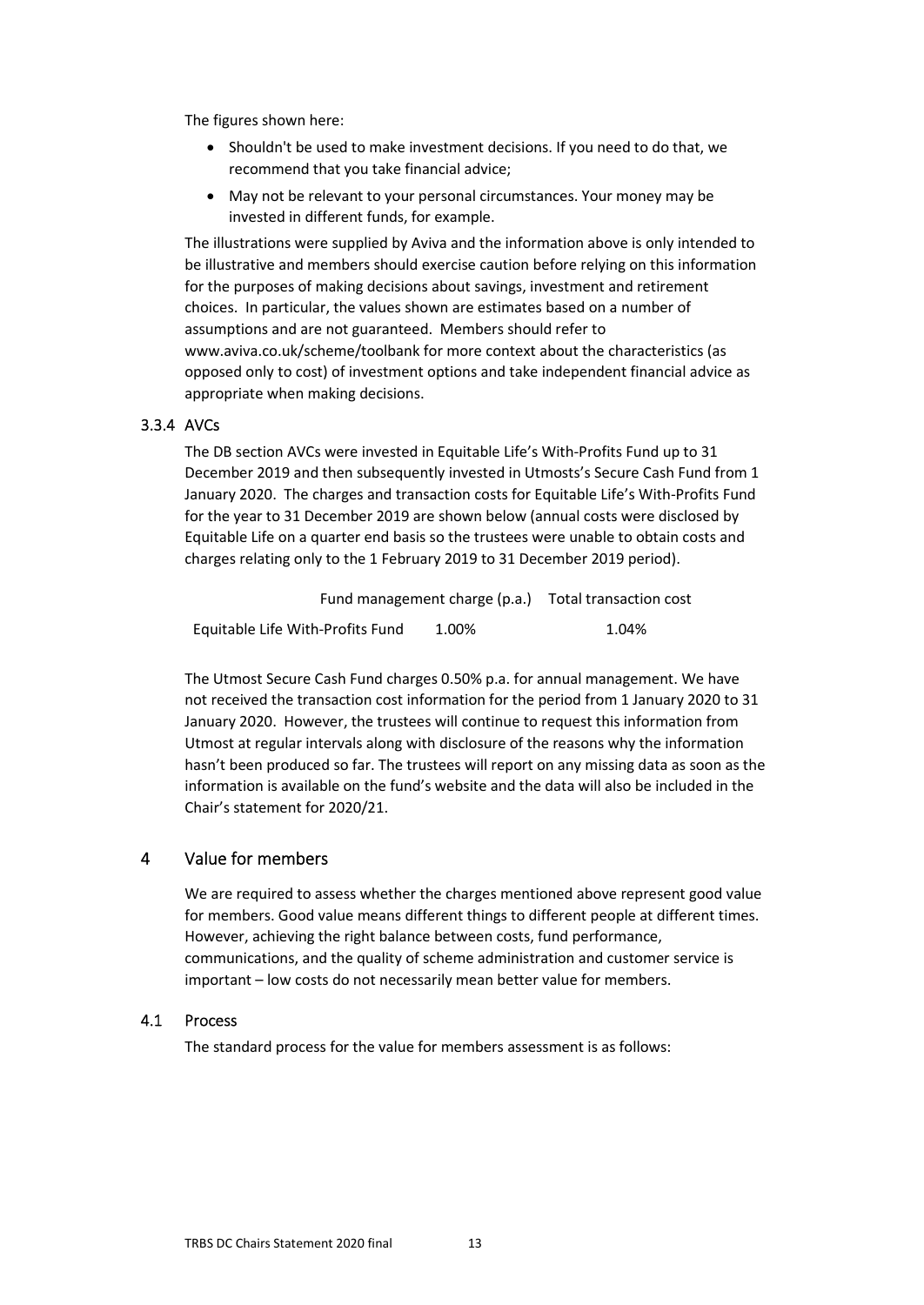The figures shown here:

- Shouldn't be used to make investment decisions. If you need to do that, we recommend that you take financial advice;
- May not be relevant to your personal circumstances. Your money may be invested in different funds, for example.

The illustrations were supplied by Aviva and the information above is only intended to be illustrative and members should exercise caution before relying on this information for the purposes of making decisions about savings, investment and retirement choices. In particular, the values shown are estimates based on a number of assumptions and are not guaranteed. Members should refer to [www.aviva.co.uk/scheme/toolbank f](https://eur02.safelinks.protection.outlook.com/?url=http%3A%2F%2Fwww.aviva.co.uk%2Fscheme%2Ftoolbank&data=02%7C01%7C%7Cd2bab57a810248f84e2808d8442a8156%7C84df9e7fe9f640afb435aaaaaaaaaaaa%7C1%7C0%7C637334296627272327&sdata=2Tey1%2B28hRhSUFHYfR1fvXdY8qzlu6ZsrJ%2F9PEfeAAk%3D&reserved=0)or more context about the characteristics (as opposed only to cost) of investment options and take independent financial advice as appropriate when making decisions.

#### 3.3.4 AVCs

The DB section AVCs were invested in Equitable Life's With-Profits Fund up to 31 December 2019 and then subsequently invested in Utmosts's Secure Cash Fund from 1 January 2020. The charges and transaction costs for Equitable Life's With-Profits Fund for the year to 31 December 2019 are shown below (annual costs were disclosed by Equitable Life on a quarter end basis so the trustees were unable to obtain costs and charges relating only to the 1 February 2019 to 31 December 2019 period).

| Fund management charge (p.a.)    | Total transaction cost |       |  |
|----------------------------------|------------------------|-------|--|
| Equitable Life With-Profits Fund | 1.00%                  | 1.04% |  |

The Utmost Secure Cash Fund charges 0.50% p.a. for annual management. We have not received the transaction cost information for the period from 1 January 2020 to 31 January 2020. However, the trustees will continue to request this information from Utmost at regular intervals along with disclosure of the reasons why the information hasn't been produced so far. The trustees will report on any missing data as soon as the information is available on the fund's website and the data will also be included in the Chair's statement for 2020/21.

#### <span id="page-12-0"></span>4 Value for members

We are required to assess whether the charges mentioned above represent good value for members. Good value means different things to different people at different times. However, achieving the right balance between costs, fund performance, communications, and the quality of scheme administration and customer service is important – low costs do not necessarily mean better value for members.

## 4.1 Process

<span id="page-12-1"></span>The standard process for the value for members assessment is as follows: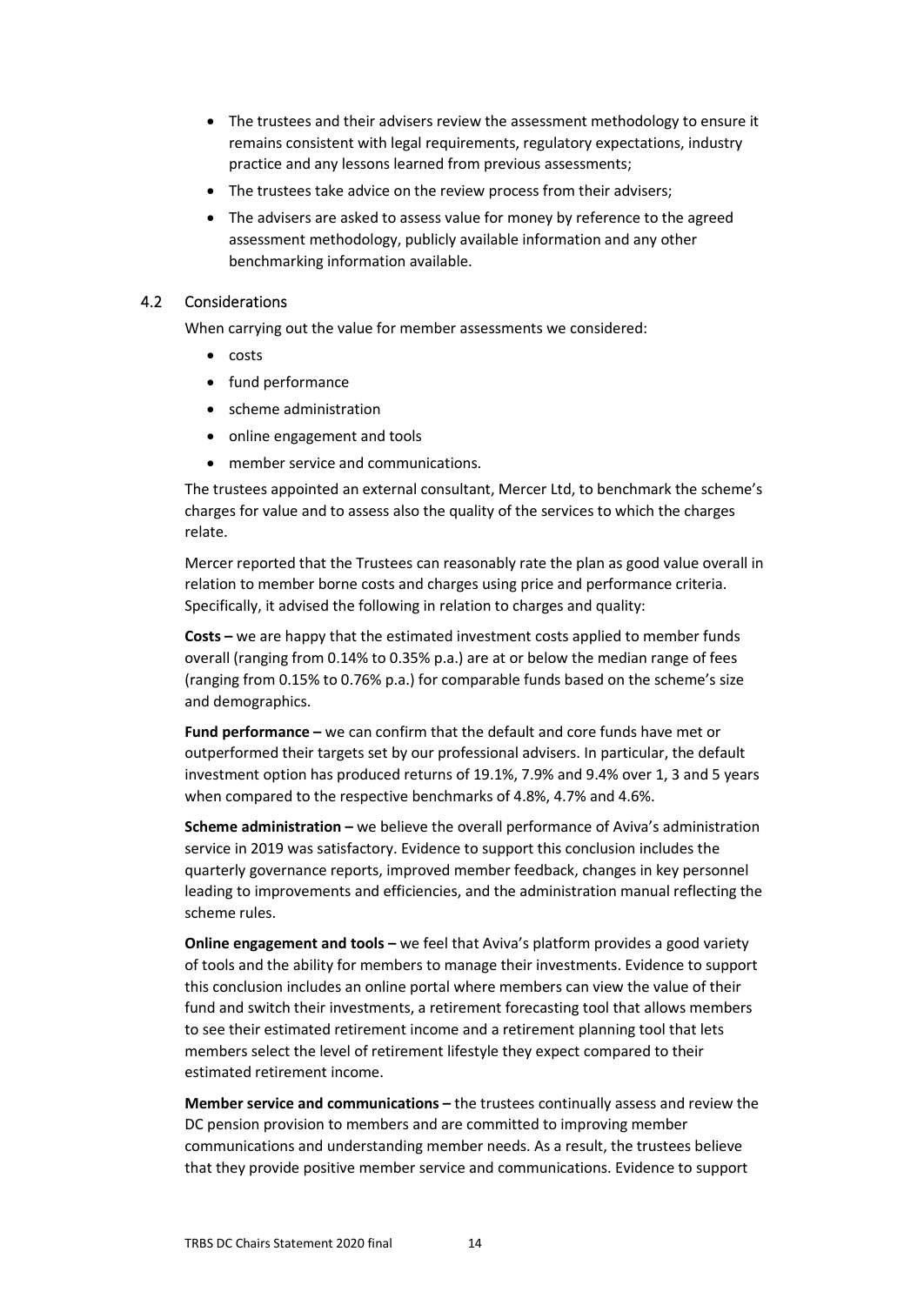- The trustees and their advisers review the assessment methodology to ensure it remains consistent with legal requirements, regulatory expectations, industry practice and any lessons learned from previous assessments;
- The trustees take advice on the review process from their advisers;
- The advisers are asked to assess value for money by reference to the agreed assessment methodology, publicly available information and any other benchmarking information available.

### 4.2 Considerations

<span id="page-13-0"></span>When carrying out the value for member assessments we considered:

- costs
- fund performance
- scheme administration
- online engagement and tools
- member service and communications.

The trustees appointed an external consultant, Mercer Ltd, to benchmark the scheme's charges for value and to assess also the quality of the services to which the charges relate.

Mercer reported that the Trustees can reasonably rate the plan as good value overall in relation to member borne costs and charges using price and performance criteria. Specifically, it advised the following in relation to charges and quality:

**Costs –** we are happy that the estimated investment costs applied to member funds overall (ranging from 0.14% to 0.35% p.a.) are at or below the median range of fees (ranging from 0.15% to 0.76% p.a.) for comparable funds based on the scheme's size and demographics.

**Fund performance –** we can confirm that the default and core funds have met or outperformed their targets set by our professional advisers. In particular, the default investment option has produced returns of 19.1%, 7.9% and 9.4% over 1, 3 and 5 years when compared to the respective benchmarks of 4.8%, 4.7% and 4.6%.

**Scheme administration –** we believe the overall performance of Aviva's administration service in 2019 was satisfactory. Evidence to support this conclusion includes the quarterly governance reports, improved member feedback, changes in key personnel leading to improvements and efficiencies, and the administration manual reflecting the scheme rules.

**Online engagement and tools –** we feel that Aviva's platform provides a good variety of tools and the ability for members to manage their investments. Evidence to support this conclusion includes an online portal where members can view the value of their fund and switch their investments, a retirement forecasting tool that allows members to see their estimated retirement income and a retirement planning tool that lets members select the level of retirement lifestyle they expect compared to their estimated retirement income.

**Member service and communications –** the trustees continually assess and review the DC pension provision to members and are committed to improving member communications and understanding member needs. As a result, the trustees believe that they provide positive member service and communications. Evidence to support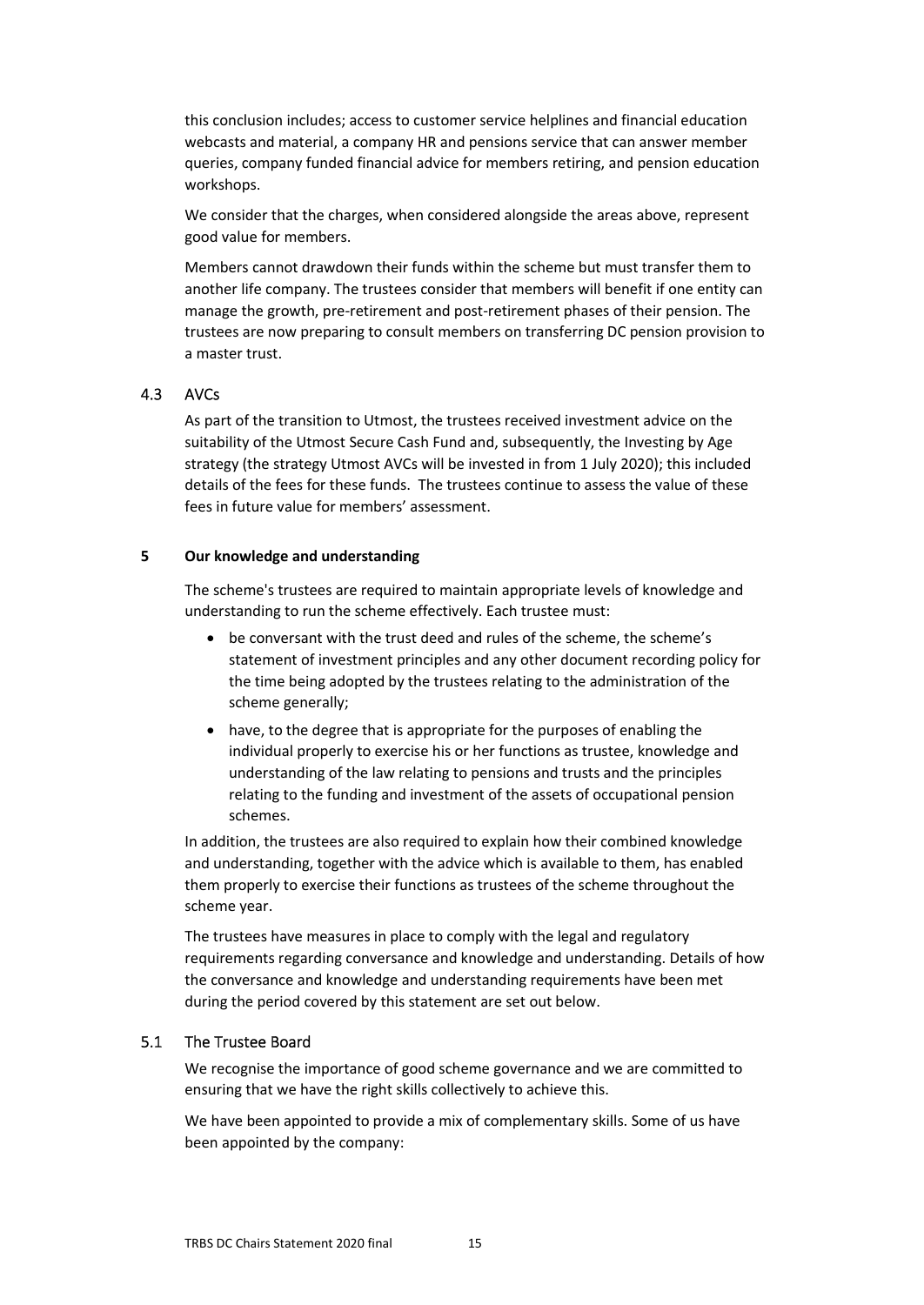this conclusion includes; access to customer service helplines and financial education webcasts and material, a company HR and pensions service that can answer member queries, company funded financial advice for members retiring, and pension education workshops.

We consider that the charges, when considered alongside the areas above, represent good value for members.

Members cannot drawdown their funds within the scheme but must transfer them to another life company. The trustees consider that members will benefit if one entity can manage the growth, pre-retirement and post-retirement phases of their pension. The trustees are now preparing to consult members on transferring DC pension provision to a master trust.

## 4.3 AVCs

<span id="page-14-0"></span>As part of the transition to Utmost, the trustees received investment advice on the suitability of the Utmost Secure Cash Fund and, subsequently, the Investing by Age strategy (the strategy Utmost AVCs will be invested in from 1 July 2020); this included details of the fees for these funds. The trustees continue to assess the value of these fees in future value for members' assessment.

### <span id="page-14-1"></span>**5 Our knowledge and understanding**

The scheme's trustees are required to maintain appropriate levels of knowledge and understanding to run the scheme effectively. Each trustee must:

- be conversant with the trust deed and rules of the scheme, the scheme's statement of investment principles and any other document recording policy for the time being adopted by the trustees relating to the administration of the scheme generally;
- have, to the degree that is appropriate for the purposes of enabling the individual properly to exercise his or her functions as trustee, knowledge and understanding of the law relating to pensions and trusts and the principles relating to the funding and investment of the assets of occupational pension schemes.

In addition, the trustees are also required to explain how their combined knowledge and understanding, together with the advice which is available to them, has enabled them properly to exercise their functions as trustees of the scheme throughout the scheme year.

The trustees have measures in place to comply with the legal and regulatory requirements regarding conversance and knowledge and understanding. Details of how the conversance and knowledge and understanding requirements have been met during the period covered by this statement are set out below.

## 5.1 The Trustee Board

<span id="page-14-2"></span>We recognise the importance of good scheme governance and we are committed to ensuring that we have the right skills collectively to achieve this.

We have been appointed to provide a mix of complementary skills. Some of us have been appointed by the company: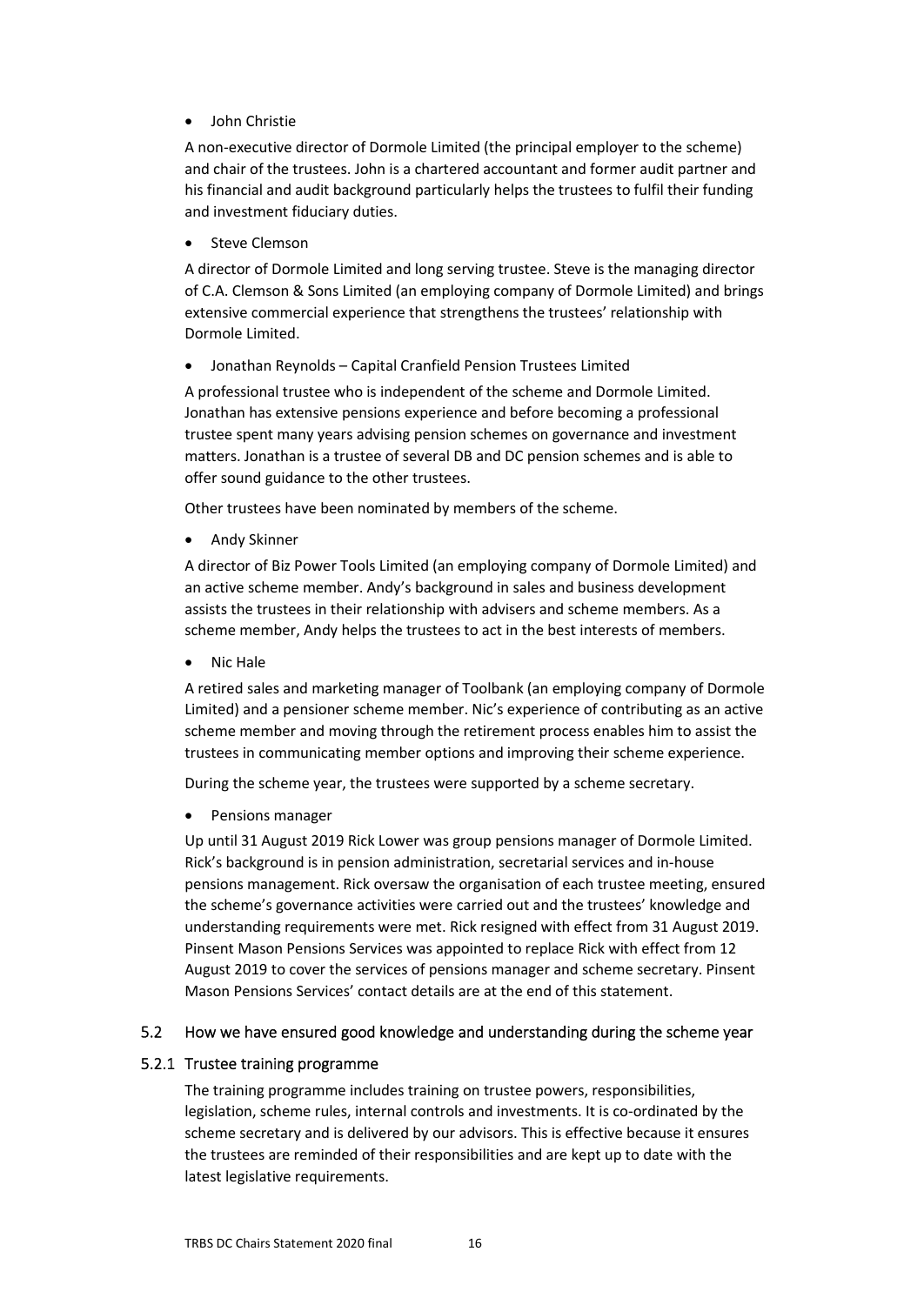## John Christie

A non-executive director of Dormole Limited (the principal employer to the scheme) and chair of the trustees. John is a chartered accountant and former audit partner and his financial and audit background particularly helps the trustees to fulfil their funding and investment fiduciary duties.

Steve Clemson

A director of Dormole Limited and long serving trustee. Steve is the managing director of C.A. Clemson & Sons Limited (an employing company of Dormole Limited) and brings extensive commercial experience that strengthens the trustees' relationship with Dormole Limited.

Jonathan Reynolds – Capital Cranfield Pension Trustees Limited

A professional trustee who is independent of the scheme and Dormole Limited. Jonathan has extensive pensions experience and before becoming a professional trustee spent many years advising pension schemes on governance and investment matters. Jonathan is a trustee of several DB and DC pension schemes and is able to offer sound guidance to the other trustees.

Other trustees have been nominated by members of the scheme.

• Andy Skinner

A director of Biz Power Tools Limited (an employing company of Dormole Limited) and an active scheme member. Andy's background in sales and business development assists the trustees in their relationship with advisers and scheme members. As a scheme member, Andy helps the trustees to act in the best interests of members.

Nic Hale

A retired sales and marketing manager of Toolbank (an employing company of Dormole Limited) and a pensioner scheme member. Nic's experience of contributing as an active scheme member and moving through the retirement process enables him to assist the trustees in communicating member options and improving their scheme experience.

During the scheme year, the trustees were supported by a scheme secretary.

Pensions manager

Up until 31 August 2019 Rick Lower was group pensions manager of Dormole Limited. Rick's background is in pension administration, secretarial services and in-house pensions management. Rick oversaw the organisation of each trustee meeting, ensured the scheme's governance activities were carried out and the trustees' knowledge and understanding requirements were met. Rick resigned with effect from 31 August 2019. Pinsent Mason Pensions Services was appointed to replace Rick with effect from 12 August 2019 to cover the services of pensions manager and scheme secretary. Pinsent Mason Pensions Services' contact details are at the end of this statement.

## <span id="page-15-0"></span>5.2 How we have ensured good knowledge and understanding during the scheme year

## 5.2.1 Trustee training programme

The training programme includes training on trustee powers, responsibilities, legislation, scheme rules, internal controls and investments. It is co-ordinated by the scheme secretary and is delivered by our advisors. This is effective because it ensures the trustees are reminded of their responsibilities and are kept up to date with the latest legislative requirements.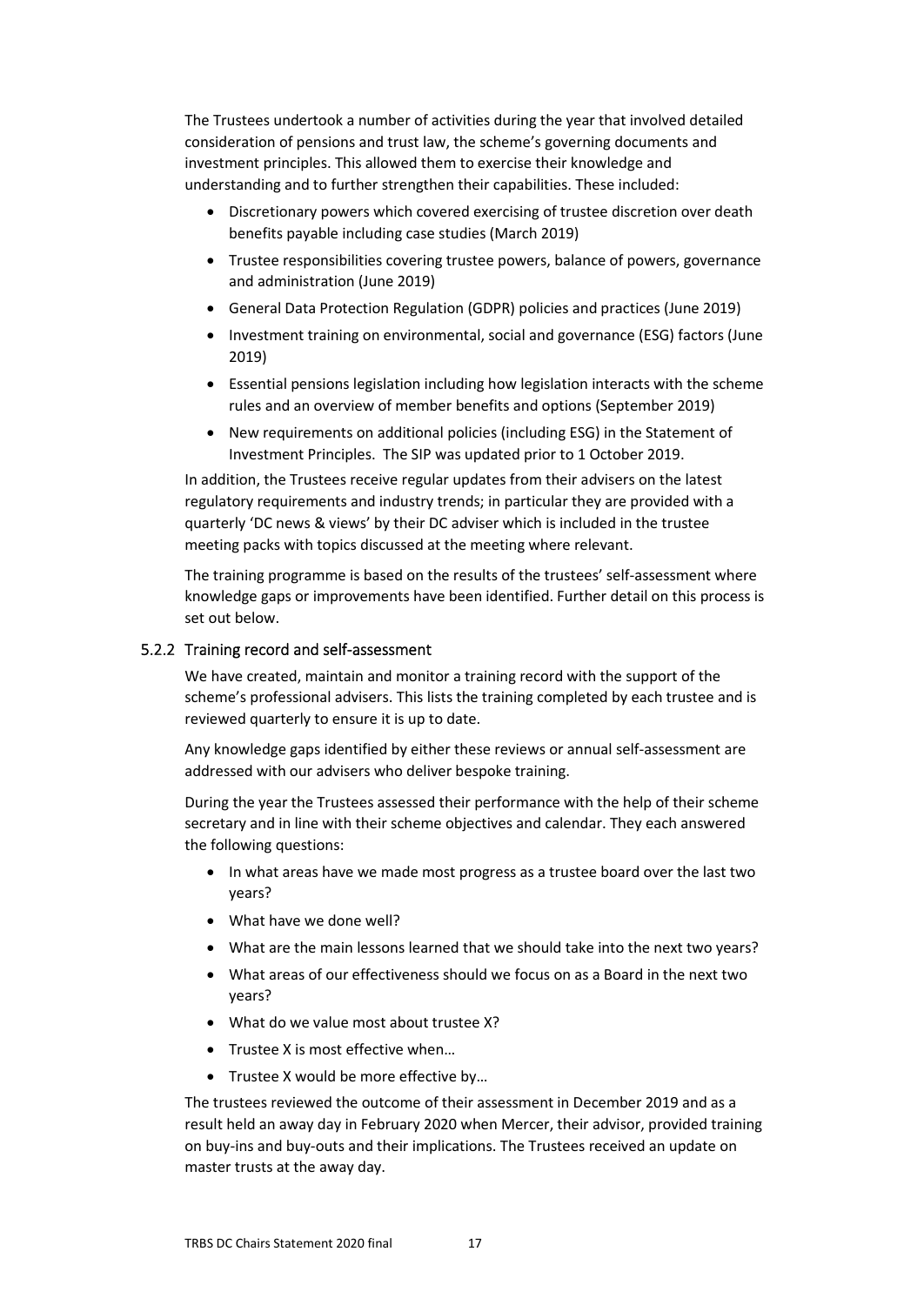The Trustees undertook a number of activities during the year that involved detailed consideration of pensions and trust law, the scheme's governing documents and investment principles. This allowed them to exercise their knowledge and understanding and to further strengthen their capabilities. These included:

- Discretionary powers which covered exercising of trustee discretion over death benefits payable including case studies (March 2019)
- Trustee responsibilities covering trustee powers, balance of powers, governance and administration (June 2019)
- General Data Protection Regulation (GDPR) policies and practices (June 2019)
- Investment training on environmental, social and governance (ESG) factors (June 2019)
- Essential pensions legislation including how legislation interacts with the scheme rules and an overview of member benefits and options (September 2019)
- New requirements on additional policies (including ESG) in the Statement of Investment Principles. The SIP was updated prior to 1 October 2019.

In addition, the Trustees receive regular updates from their advisers on the latest regulatory requirements and industry trends; in particular they are provided with a quarterly 'DC news & views' by their DC adviser which is included in the trustee meeting packs with topics discussed at the meeting where relevant.

The training programme is based on the results of the trustees' self-assessment where knowledge gaps or improvements have been identified. Further detail on this process is set out below.

## 5.2.2 Training record and self-assessment

We have created, maintain and monitor a training record with the support of the scheme's professional advisers. This lists the training completed by each trustee and is reviewed quarterly to ensure it is up to date.

Any knowledge gaps identified by either these reviews or annual self-assessment are addressed with our advisers who deliver bespoke training.

During the year the Trustees assessed their performance with the help of their scheme secretary and in line with their scheme objectives and calendar. They each answered the following questions:

- In what areas have we made most progress as a trustee board over the last two years?
- What have we done well?
- What are the main lessons learned that we should take into the next two years?
- What areas of our effectiveness should we focus on as a Board in the next two years?
- What do we value most about trustee X?
- Trustee X is most effective when…
- Trustee X would be more effective by...

The trustees reviewed the outcome of their assessment in December 2019 and as a result held an away day in February 2020 when Mercer, their advisor, provided training on buy-ins and buy-outs and their implications. The Trustees received an update on master trusts at the away day.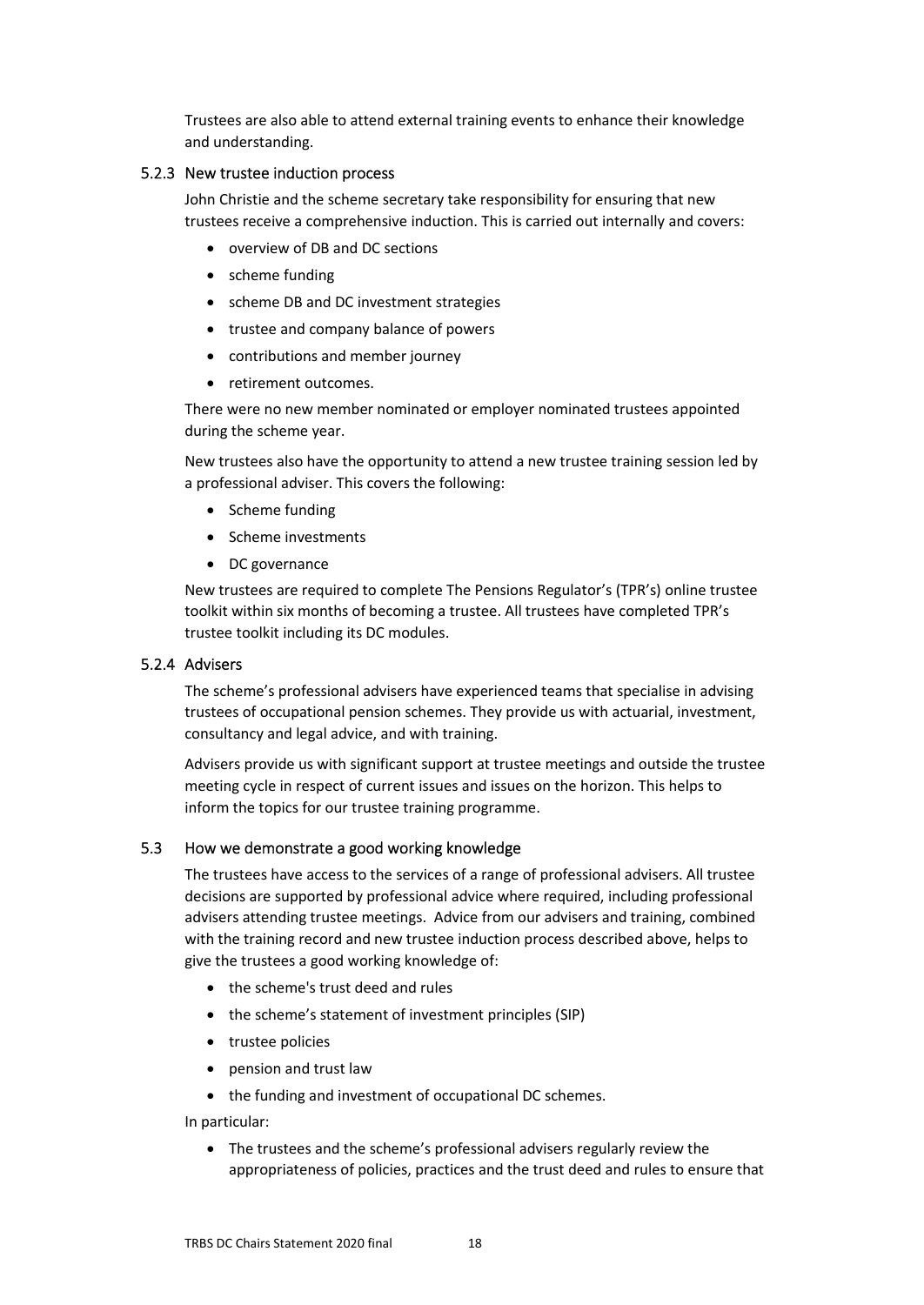Trustees are also able to attend external training events to enhance their knowledge and understanding.

## 5.2.3 New trustee induction process

John Christie and the scheme secretary take responsibility for ensuring that new trustees receive a comprehensive induction. This is carried out internally and covers:

- overview of DB and DC sections
- scheme funding
- scheme DB and DC investment strategies
- trustee and company balance of powers
- contributions and member journey
- retirement outcomes.

There were no new member nominated or employer nominated trustees appointed during the scheme year.

New trustees also have the opportunity to attend a new trustee training session led by a professional adviser. This covers the following:

- Scheme funding
- Scheme investments
- DC governance

New trustees are required to complete The Pensions Regulator's (TPR's) online trustee toolkit within six months of becoming a trustee. All trustees have completed TPR's trustee toolkit including its DC modules.

## 5.2.4 Advisers

The scheme's professional advisers have experienced teams that specialise in advising trustees of occupational pension schemes. They provide us with actuarial, investment, consultancy and legal advice, and with training.

Advisers provide us with significant support at trustee meetings and outside the trustee meeting cycle in respect of current issues and issues on the horizon. This helps to inform the topics for our trustee training programme.

## 5.3 How we demonstrate a good working knowledge

<span id="page-17-0"></span>The trustees have access to the services of a range of professional advisers. All trustee decisions are supported by professional advice where required, including professional advisers attending trustee meetings. Advice from our advisers and training, combined with the training record and new trustee induction process described above, helps to give the trustees a good working knowledge of:

- the scheme's trust deed and rules
- the scheme's statement of investment principles (SIP)
- trustee policies
- pension and trust law
- the funding and investment of occupational DC schemes.

In particular:

 The trustees and the scheme's professional advisers regularly review the appropriateness of policies, practices and the trust deed and rules to ensure that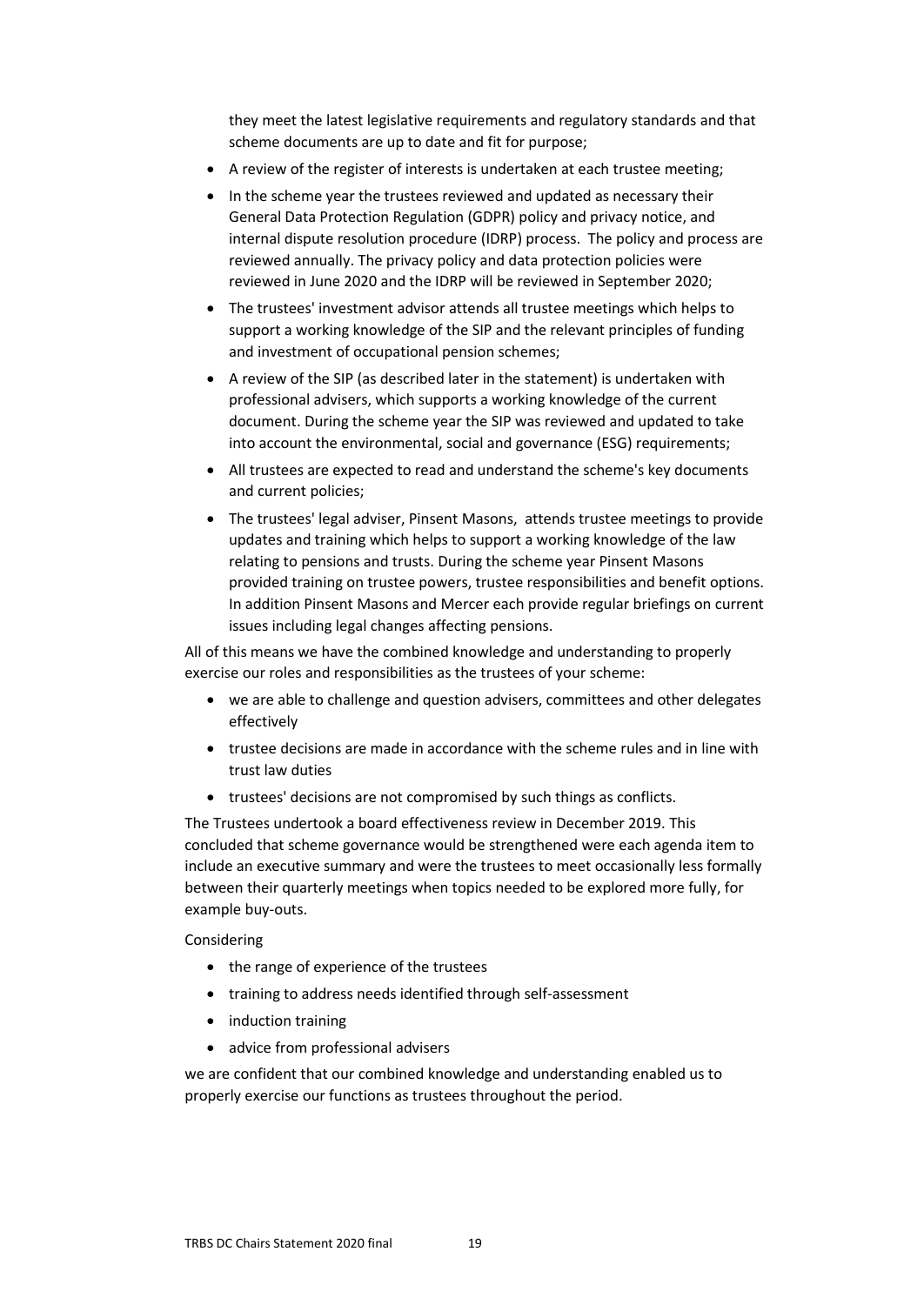they meet the latest legislative requirements and regulatory standards and that scheme documents are up to date and fit for purpose;

- A review of the register of interests is undertaken at each trustee meeting;
- In the scheme year the trustees reviewed and updated as necessary their General Data Protection Regulation (GDPR) policy and privacy notice, and internal dispute resolution procedure (IDRP) process. The policy and process are reviewed annually. The privacy policy and data protection policies were reviewed in June 2020 and the IDRP will be reviewed in September 2020;
- The trustees' investment advisor attends all trustee meetings which helps to support a working knowledge of the SIP and the relevant principles of funding and investment of occupational pension schemes;
- A review of the SIP (as described later in the statement) is undertaken with professional advisers, which supports a working knowledge of the current document. During the scheme year the SIP was reviewed and updated to take into account the environmental, social and governance (ESG) requirements;
- All trustees are expected to read and understand the scheme's key documents and current policies;
- The trustees' legal adviser, Pinsent Masons, attends trustee meetings to provide updates and training which helps to support a working knowledge of the law relating to pensions and trusts. During the scheme year Pinsent Masons provided training on trustee powers, trustee responsibilities and benefit options. In addition Pinsent Masons and Mercer each provide regular briefings on current issues including legal changes affecting pensions.

All of this means we have the combined knowledge and understanding to properly exercise our roles and responsibilities as the trustees of your scheme:

- we are able to challenge and question advisers, committees and other delegates effectively
- trustee decisions are made in accordance with the scheme rules and in line with trust law duties
- trustees' decisions are not compromised by such things as conflicts.

The Trustees undertook a board effectiveness review in December 2019. This concluded that scheme governance would be strengthened were each agenda item to include an executive summary and were the trustees to meet occasionally less formally between their quarterly meetings when topics needed to be explored more fully, for example buy-outs.

Considering

- the range of experience of the trustees
- training to address needs identified through self-assessment
- induction training
- advice from professional advisers

we are confident that our combined knowledge and understanding enabled us to properly exercise our functions as trustees throughout the period.